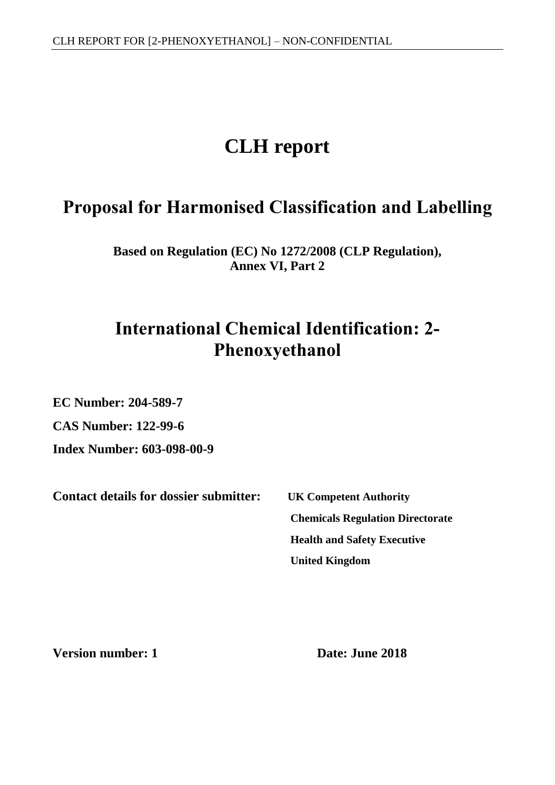# **CLH report**

# **Proposal for Harmonised Classification and Labelling**

**Based on Regulation (EC) No 1272/2008 (CLP Regulation), Annex VI, Part 2**

# **International Chemical Identification: 2- Phenoxyethanol**

**EC Number: 204-589-7**

**CAS Number: 122-99-6**

**Index Number: 603-098-00-9**

**Contact details for dossier submitter: UK Competent Authority**

<span id="page-0-1"></span><span id="page-0-0"></span>**Chemicals Regulation Directorate Health and Safety Executive United Kingdom**

**Version number: 1 Date: June 2018**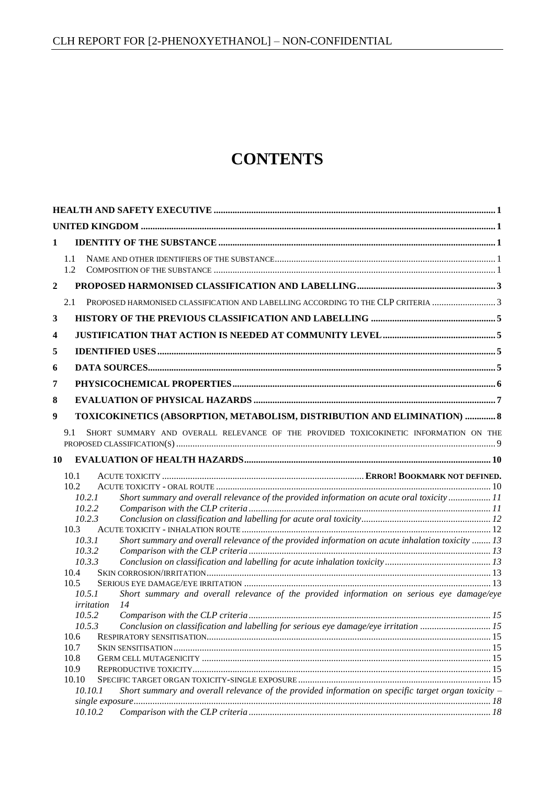# **CONTENTS**

| 1              |                  |                                                                                                       |  |
|----------------|------------------|-------------------------------------------------------------------------------------------------------|--|
|                | 1.1<br>1.2       |                                                                                                       |  |
| $\overline{2}$ |                  |                                                                                                       |  |
|                | 2.1              | PROPOSED HARMONISED CLASSIFICATION AND LABELLING ACCORDING TO THE CLP CRITERIA 3                      |  |
| 3              |                  |                                                                                                       |  |
| 4              |                  |                                                                                                       |  |
| 5              |                  |                                                                                                       |  |
| 6              |                  |                                                                                                       |  |
|                |                  |                                                                                                       |  |
| 7              |                  |                                                                                                       |  |
| 8              |                  |                                                                                                       |  |
| 9              |                  | TOXICOKINETICS (ABSORPTION, METABOLISM, DISTRIBUTION AND ELIMINATION)  8                              |  |
|                | 9.1              | SHORT SUMMARY AND OVERALL RELEVANCE OF THE PROVIDED TOXICOKINETIC INFORMATION ON THE                  |  |
| 10             |                  |                                                                                                       |  |
|                | 10.1             |                                                                                                       |  |
|                | 10.2             |                                                                                                       |  |
|                | 10.2.1<br>10.2.2 | Short summary and overall relevance of the provided information on acute oral toxicity 11             |  |
|                | 10.2.3           |                                                                                                       |  |
|                | 10.3             |                                                                                                       |  |
|                | 10.3.1           | Short summary and overall relevance of the provided information on acute inhalation toxicity  13      |  |
|                | 10.3.2           |                                                                                                       |  |
|                | 10.3.3           |                                                                                                       |  |
|                | 10.4<br>10.5     |                                                                                                       |  |
|                | 10.5.1           | Short summary and overall relevance of the provided information on serious eye damage/eye             |  |
|                | irritation       | 14                                                                                                    |  |
|                | 10.5.2           |                                                                                                       |  |
|                | 10.5.3           | Conclusion on classification and labelling for serious eye damage/eye irritation 15                   |  |
|                | 10.6             |                                                                                                       |  |
|                | 10.7             |                                                                                                       |  |
|                | 10.8             |                                                                                                       |  |
|                | 10.9             |                                                                                                       |  |
|                | 10.10            |                                                                                                       |  |
|                | 10.10.1          | Short summary and overall relevance of the provided information on specific target organ toxicity $-$ |  |
|                | 10.10.2          |                                                                                                       |  |
|                |                  |                                                                                                       |  |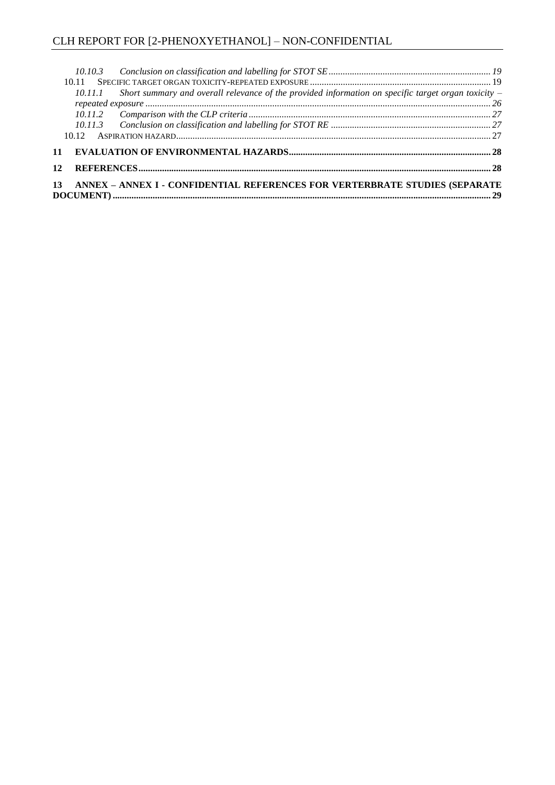|  | 10.11.1 Short summary and overall relevance of the provided information on specific target organ toxicity – |  |
|--|-------------------------------------------------------------------------------------------------------------|--|
|  |                                                                                                             |  |
|  |                                                                                                             |  |
|  |                                                                                                             |  |
|  |                                                                                                             |  |
|  |                                                                                                             |  |
|  |                                                                                                             |  |
|  | 13 ANNEX - ANNEX I - CONFIDENTIAL REFERENCES FOR VERTERBRATE STUDIES (SEPARATE                              |  |
|  |                                                                                                             |  |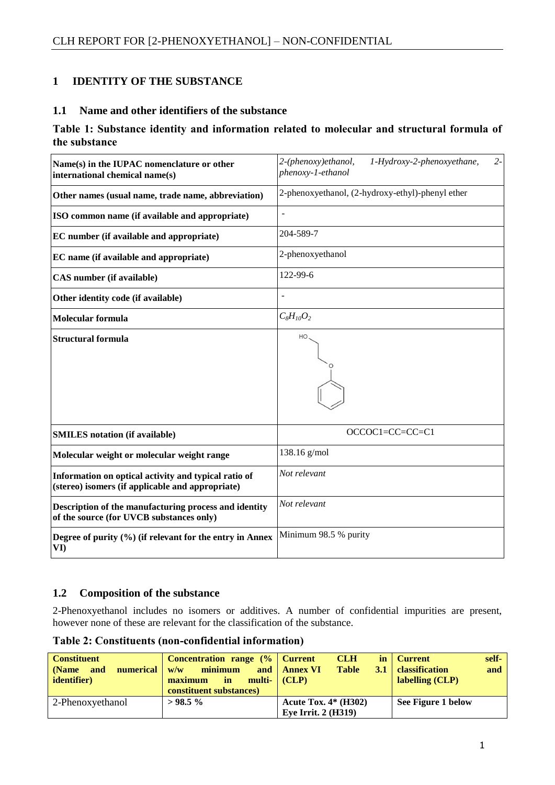# <span id="page-3-0"></span>**1 IDENTITY OF THE SUBSTANCE**

#### <span id="page-3-1"></span>**1.1 Name and other identifiers of the substance**

#### **Table 1: Substance identity and information related to molecular and structural formula of the substance**

| Name(s) in the IUPAC nomenclature or other<br>international chemical name(s)                             | $2 -$<br>2-(phenoxy)ethanol,<br>1-Hydroxy-2-phenoxyethane,<br>phenoxy-1-ethanol |
|----------------------------------------------------------------------------------------------------------|---------------------------------------------------------------------------------|
| Other names (usual name, trade name, abbreviation)                                                       | 2-phenoxyethanol, (2-hydroxy-ethyl)-phenyl ether                                |
| ISO common name (if available and appropriate)                                                           | $\overline{a}$                                                                  |
| EC number (if available and appropriate)                                                                 | 204-589-7                                                                       |
| EC name (if available and appropriate)                                                                   | 2-phenoxyethanol                                                                |
| <b>CAS</b> number (if available)                                                                         | 122-99-6                                                                        |
| Other identity code (if available)                                                                       | $\overline{a}$                                                                  |
| <b>Molecular formula</b>                                                                                 | $C_8H_{10}O_2$                                                                  |
| <b>Structural formula</b>                                                                                | HO                                                                              |
| <b>SMILES</b> notation (if available)                                                                    | OCCOC1=CC=CC=C1                                                                 |
| Molecular weight or molecular weight range                                                               | 138.16 g/mol                                                                    |
| Information on optical activity and typical ratio of<br>(stereo) isomers (if applicable and appropriate) | Not relevant                                                                    |
| Description of the manufacturing process and identity<br>of the source (for UVCB substances only)        | Not relevant                                                                    |
| Degree of purity (%) (if relevant for the entry in Annex<br>VI                                           | Minimum 98.5 % purity                                                           |

#### <span id="page-3-2"></span>**1.2 Composition of the substance**

2-Phenoxyethanol includes no isomers or additives. A number of confidential impurities are present, however none of these are relevant for the classification of the substance.

**Table 2: Constituents (non-confidential information)**

| <b>Constituent</b><br>numerical<br>and<br>(Name<br><i>identifier</i> ) | Concentration range (%   Current<br>minimum<br>w/w<br>maximum<br>multi- (CLP)<br>in<br>constituent substances) | <b>CLH</b><br><b>Table</b><br>and   Annex VI<br>3.1 | self-<br>$\mathbf{in}$   Current<br>and<br><b>classification</b><br>labelling (CLP) |
|------------------------------------------------------------------------|----------------------------------------------------------------------------------------------------------------|-----------------------------------------------------|-------------------------------------------------------------------------------------|
| 2-Phenoxyethanol                                                       | $>98.5\%$                                                                                                      | Acute Tox. $4*$ (H302)                              | See Figure 1 below                                                                  |
|                                                                        |                                                                                                                | Eye Irrit. $2$ (H319)                               |                                                                                     |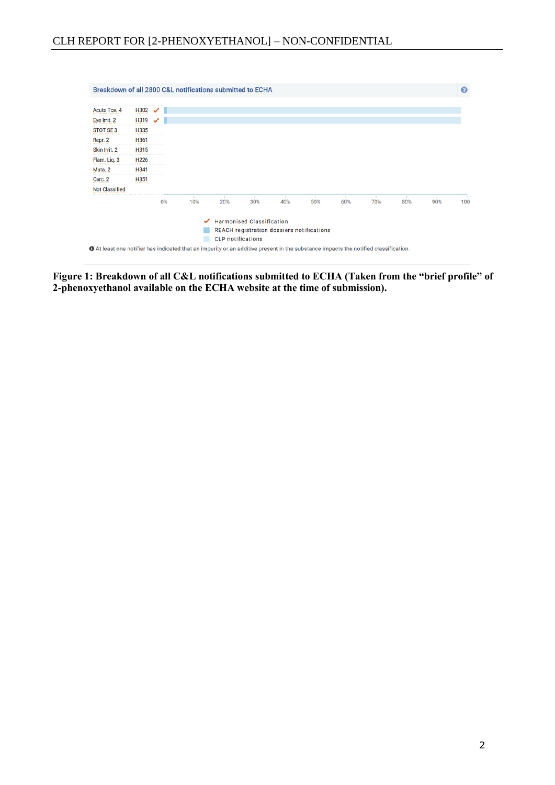|                       | <b>Harmonised Classification</b><br>✓<br>REACH registration dossiers notifications<br><b>CLP</b> notifications |    |     |     |     |                 |             |     |             |                      |                     |      |
|-----------------------|----------------------------------------------------------------------------------------------------------------|----|-----|-----|-----|-----------------|-------------|-----|-------------|----------------------|---------------------|------|
|                       |                                                                                                                | 0% | 10% | 20% | 30% | <b>A</b><br>40% | - 11<br>50% | 60% | - 11<br>70% | $\mathcal{L}$<br>80% | $\mathbf{r}$<br>90% | 100' |
| <b>Not Classified</b> |                                                                                                                |    |     |     |     |                 |             |     |             |                      |                     |      |
| Carc. 2               | H351                                                                                                           |    |     |     |     |                 |             |     |             |                      |                     |      |
| Muta. 2               | H341                                                                                                           |    |     |     |     |                 |             |     |             |                      |                     |      |
| Flam. Liq. 3          | H <sub>226</sub>                                                                                               |    |     |     |     |                 |             |     |             |                      |                     |      |
| Skin Irrit. 2         | H315                                                                                                           |    |     |     |     |                 |             |     |             |                      |                     |      |
| Repr. 2               | H361                                                                                                           |    |     |     |     |                 |             |     |             |                      |                     |      |
| <b>STOT SE3</b>       | H335                                                                                                           |    |     |     |     |                 |             |     |             |                      |                     |      |
| Eye Irrit. 2          | H319                                                                                                           | ╯  |     |     |     |                 |             |     |             |                      |                     |      |
| Acute Tox. 4          | H302                                                                                                           | ╯  |     |     |     |                 |             |     |             |                      |                     |      |

**Figure 1: Breakdown of all C&L notifications submitted to ECHA (Taken from the "brief profile" of 2-phenoxyethanol available on the ECHA website at the time of submission).**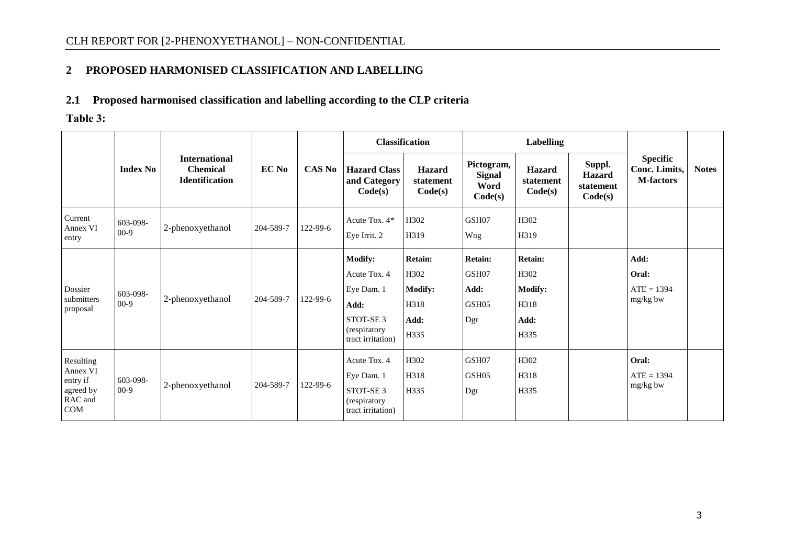## **2 PROPOSED HARMONISED CLASSIFICATION AND LABELLING**

### **2.1 Proposed harmonised classification and labelling according to the CLP criteria**

**Table 3:**

<span id="page-5-1"></span><span id="page-5-0"></span>

|                                                                  |                    |                                                                  |           |               | <b>Classification</b>                                                                                             |                                                           | <b>Labelling</b>                                |                                                           |                                                 |                                                      |              |
|------------------------------------------------------------------|--------------------|------------------------------------------------------------------|-----------|---------------|-------------------------------------------------------------------------------------------------------------------|-----------------------------------------------------------|-------------------------------------------------|-----------------------------------------------------------|-------------------------------------------------|------------------------------------------------------|--------------|
|                                                                  | <b>Index No</b>    | <b>International</b><br><b>Chemical</b><br><b>Identification</b> | EC No     | <b>CAS No</b> | <b>Hazard Class</b><br>and Category<br>Code(s)                                                                    | <b>Hazard</b><br>statement<br>Code(s)                     | Pictogram,<br><b>Signal</b><br>Word<br>Code(s)  | <b>Hazard</b><br>statement<br>Code(s)                     | Suppl.<br><b>Hazard</b><br>statement<br>Code(s) | <b>Specific</b><br>Conc. Limits,<br><b>M-factors</b> | <b>Notes</b> |
| Current<br>Annex VI<br>entry                                     | 603-098-<br>$00-9$ | 2-phenoxyethanol                                                 | 204-589-7 | 122-99-6      | Acute Tox. 4*<br>Eye Irrit. 2                                                                                     | H302<br>H319                                              | GSH07<br>Wng                                    | H302<br>H319                                              |                                                 |                                                      |              |
| Dossier<br>submitters<br>proposal                                | 603-098-<br>$00-9$ | 2-phenoxyethanol                                                 | 204-589-7 | 122-99-6      | <b>Modify:</b><br>Acute Tox. 4<br>Eye Dam. 1<br>Add:<br>STOT-SE <sub>3</sub><br>(respiratory<br>tract irritation) | Retain:<br>H302<br><b>Modify:</b><br>H318<br>Add:<br>H335 | <b>Retain:</b><br>GSH07<br>Add:<br>GSH05<br>Dgr | Retain:<br>H302<br><b>Modify:</b><br>H318<br>Add:<br>H335 |                                                 | Add:<br>Oral:<br>$ATE = 1394$<br>mg/kg bw            |              |
| Resulting<br>Annex VI<br>entry if<br>agreed by<br>RAC and<br>COM | 603-098-<br>$00-9$ | 2-phenoxyethanol                                                 | 204-589-7 | 122-99-6      | Acute Tox. 4<br>Eye Dam. 1<br>STOT-SE <sub>3</sub><br>(respiratory<br>tract irritation)                           | H302<br>H318<br>H335                                      | GSH07<br>GSH <sub>05</sub><br>Dgr               | H302<br>H318<br>H335                                      |                                                 | Oral:<br>$ATE = 1394$<br>mg/kg bw                    |              |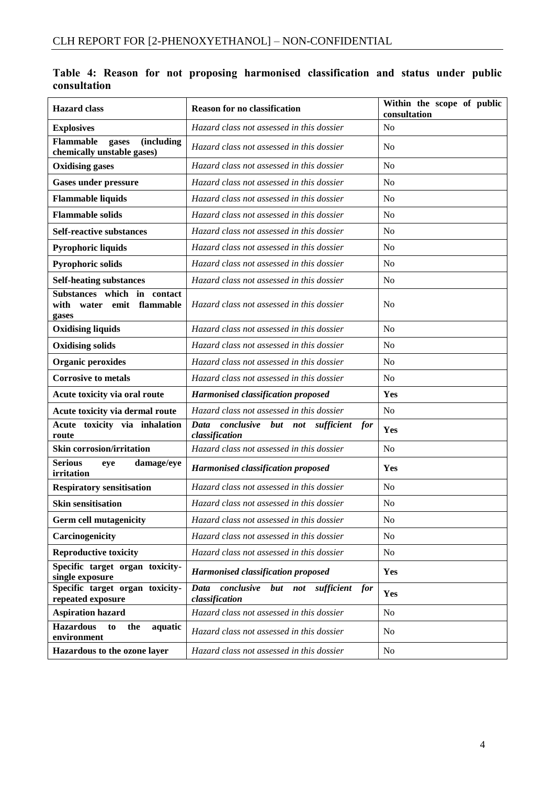| <b>Hazard</b> class                                                        | <b>Reason for no classification</b>                                  | Within the scope of public<br>consultation |
|----------------------------------------------------------------------------|----------------------------------------------------------------------|--------------------------------------------|
| <b>Explosives</b>                                                          | Hazard class not assessed in this dossier                            | No                                         |
| Flammable<br><i>(including)</i><br>gases<br>chemically unstable gases)     | Hazard class not assessed in this dossier                            | N <sub>o</sub>                             |
| <b>Oxidising gases</b>                                                     | Hazard class not assessed in this dossier                            | N <sub>o</sub>                             |
| <b>Gases under pressure</b>                                                | Hazard class not assessed in this dossier                            | N <sub>o</sub>                             |
| <b>Flammable liquids</b>                                                   | Hazard class not assessed in this dossier                            | N <sub>o</sub>                             |
| <b>Flammable solids</b>                                                    | Hazard class not assessed in this dossier                            | N <sub>o</sub>                             |
| <b>Self-reactive substances</b>                                            | Hazard class not assessed in this dossier                            | N <sub>o</sub>                             |
| Pyrophoric liquids                                                         | Hazard class not assessed in this dossier                            | N <sub>o</sub>                             |
| <b>Pyrophoric solids</b>                                                   | Hazard class not assessed in this dossier                            | N <sub>o</sub>                             |
| <b>Self-heating substances</b>                                             | Hazard class not assessed in this dossier                            | N <sub>o</sub>                             |
| Substances which<br>in contact<br>water emit<br>flammable<br>with<br>gases | Hazard class not assessed in this dossier                            | N <sub>o</sub>                             |
| <b>Oxidising liquids</b>                                                   | Hazard class not assessed in this dossier                            | No                                         |
| <b>Oxidising solids</b>                                                    | Hazard class not assessed in this dossier                            | N <sub>o</sub>                             |
| <b>Organic peroxides</b>                                                   | Hazard class not assessed in this dossier                            | N <sub>o</sub>                             |
| <b>Corrosive to metals</b>                                                 | Hazard class not assessed in this dossier                            | N <sub>o</sub>                             |
| Acute toxicity via oral route                                              | <b>Harmonised classification proposed</b>                            | Yes                                        |
| Acute toxicity via dermal route                                            | Hazard class not assessed in this dossier                            | N <sub>o</sub>                             |
| toxicity via inhalation<br>Acute<br>route                                  | Data<br>conclusive<br>but not<br>sufficient<br>for<br>classification | Yes                                        |
| <b>Skin corrosion/irritation</b>                                           | Hazard class not assessed in this dossier                            | N <sub>o</sub>                             |
| <b>Serious</b><br>damage/eye<br>eye<br>irritation                          | <b>Harmonised classification proposed</b>                            | Yes                                        |
| <b>Respiratory sensitisation</b>                                           | Hazard class not assessed in this dossier                            | No                                         |
| <b>Skin sensitisation</b>                                                  | Hazard class not assessed in this dossier                            | N <sub>o</sub>                             |
| <b>Germ cell mutagenicity</b>                                              | Hazard class not assessed in this dossier                            | No                                         |
| Carcinogenicity                                                            | Hazard class not assessed in this dossier                            | N <sub>o</sub>                             |
| <b>Reproductive toxicity</b>                                               | Hazard class not assessed in this dossier                            | No                                         |
| Specific target organ toxicity-<br>single exposure                         | <b>Harmonised classification proposed</b>                            | Yes                                        |
| Specific target organ toxicity-<br>repeated exposure                       | conclusive<br>but not<br>Data<br>sufficient<br>for<br>classification | Yes                                        |
| <b>Aspiration hazard</b>                                                   | Hazard class not assessed in this dossier                            | N <sub>o</sub>                             |
| <b>Hazardous</b><br>to<br>the<br>aquatic<br>environment                    | Hazard class not assessed in this dossier                            | No                                         |
| Hazardous to the ozone layer                                               | Hazard class not assessed in this dossier                            | No                                         |

**Table 4: Reason for not proposing harmonised classification and status under public consultation**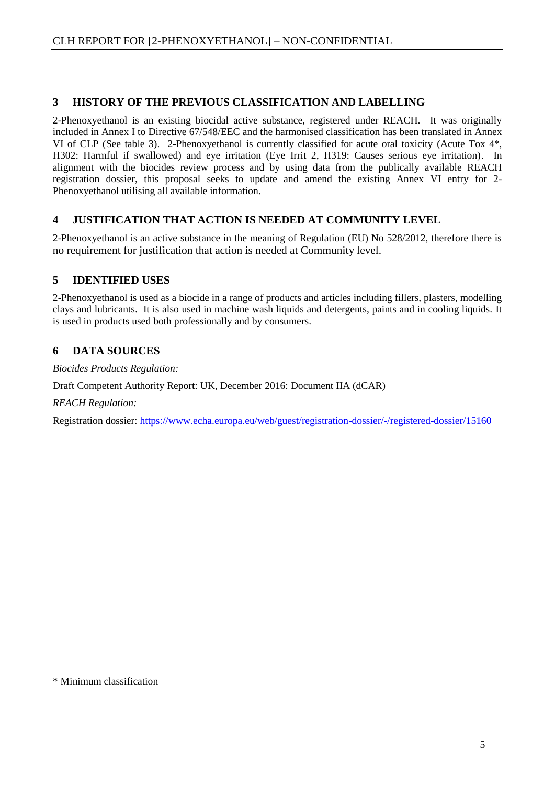### <span id="page-7-0"></span>**3 HISTORY OF THE PREVIOUS CLASSIFICATION AND LABELLING**

2-Phenoxyethanol is an existing biocidal active substance, registered under REACH. It was originally included in Annex I to Directive 67/548/EEC and the harmonised classification has been translated in Annex VI of CLP (See table 3). 2-Phenoxyethanol is currently classified for acute oral toxicity (Acute Tox 4\*, H302: Harmful if swallowed) and eye irritation (Eye Irrit 2, H319: Causes serious eye irritation). In alignment with the biocides review process and by using data from the publically available REACH registration dossier, this proposal seeks to update and amend the existing Annex VI entry for 2- Phenoxyethanol utilising all available information.

### <span id="page-7-1"></span>**4 JUSTIFICATION THAT ACTION IS NEEDED AT COMMUNITY LEVEL**

2-Phenoxyethanol is an active substance in the meaning of Regulation (EU) No 528/2012, therefore there is no requirement for justification that action is needed at Community level.

## <span id="page-7-2"></span>**5 IDENTIFIED USES**

2-Phenoxyethanol is used as a biocide in a range of products and articles including fillers, plasters, modelling clays and lubricants. It is also used in machine wash liquids and detergents, paints and in cooling liquids. It is used in products used both professionally and by consumers.

### <span id="page-7-3"></span>**6 DATA SOURCES**

*Biocides Products Regulation:*

Draft Competent Authority Report: UK, December 2016: Document IIA (dCAR)

*REACH Regulation:*

Registration dossier:<https://www.echa.europa.eu/web/guest/registration-dossier/-/registered-dossier/15160>

\* Minimum classification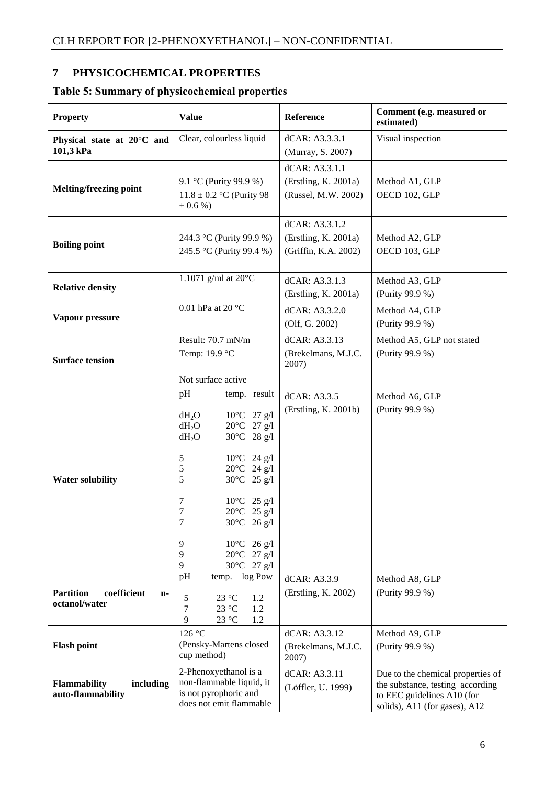# <span id="page-8-0"></span>**7 PHYSICOCHEMICAL PROPERTIES**

# **Table 5: Summary of physicochemical properties**

| <b>Property</b>                                                     | <b>Value</b>                                                                                                                                                                                                                                                                                                                                                                                     | Reference                                                      | Comment (e.g. measured or<br>estimated)                                                                                              |
|---------------------------------------------------------------------|--------------------------------------------------------------------------------------------------------------------------------------------------------------------------------------------------------------------------------------------------------------------------------------------------------------------------------------------------------------------------------------------------|----------------------------------------------------------------|--------------------------------------------------------------------------------------------------------------------------------------|
| Clear, colourless liquid<br>Physical state at 20°C and<br>101,3 kPa |                                                                                                                                                                                                                                                                                                                                                                                                  | dCAR: A3.3.3.1<br>(Murray, S. 2007)                            | Visual inspection                                                                                                                    |
| <b>Melting/freezing point</b>                                       | 9.1 °C (Purity 99.9 %)<br>$11.8 \pm 0.2$ °C (Purity 98)<br>$\pm 0.6 \%$                                                                                                                                                                                                                                                                                                                          | dCAR: A3.3.1.1<br>(Erstling, K. 2001a)<br>(Russel, M.W. 2002)  | Method A1, GLP<br>OECD 102, GLP                                                                                                      |
| <b>Boiling point</b>                                                | 244.3 °C (Purity 99.9 %)<br>245.5 °C (Purity 99.4 %)                                                                                                                                                                                                                                                                                                                                             | dCAR: A3.3.1.2<br>(Erstling, K. 2001a)<br>(Griffin, K.A. 2002) | Method A2, GLP<br>OECD 103, GLP                                                                                                      |
| <b>Relative density</b>                                             | 1.1071 g/ml at $20^{\circ}$ C                                                                                                                                                                                                                                                                                                                                                                    | dCAR: A3.3.1.3<br>(Erstling, K. 2001a)                         | Method A3, GLP<br>(Purity 99.9 %)                                                                                                    |
| Vapour pressure                                                     | 0.01 hPa at 20 $^{\circ}$ C                                                                                                                                                                                                                                                                                                                                                                      | dCAR: A3.3.2.0<br>(Olf, G. 2002)                               | Method A4, GLP<br>(Purity 99.9 %)                                                                                                    |
| <b>Surface tension</b>                                              | Result: 70.7 mN/m<br>Temp: 19.9 °C<br>Not surface active                                                                                                                                                                                                                                                                                                                                         | dCAR: A3.3.13<br>(Brekelmans, M.J.C.<br>2007)                  | Method A5, GLP not stated<br>(Purity 99.9 %)                                                                                         |
| <b>Water solubility</b>                                             | pH<br>temp. result<br>$10^{\circ}$ C 27 g/l<br>$dH_2O$<br>$20^{\circ}$ C 27 g/l<br>$dH_2O$<br>30°C 28 g/l<br>$dH_2O$<br>$10^{\circ}$ C 24 g/l<br>5<br>$20^{\circ}$ C 24 g/l<br>$\mathfrak{S}$<br>5<br>$30^{\circ}$ C 25 g/l<br>7<br>$10^{\circ}$ C 25 g/l<br>$\boldsymbol{7}$<br>20°C 25 g/l<br>30°C 26 g/l<br>7<br>$10^{\circ}$ C 26 g/l<br>9<br>$20^{\circ}$ C 27 g/l<br>9<br>30°C 27 g/l<br>9 | dCAR: A3.3.5<br>(Erstling, K. 2001b)                           | Method A6, GLP<br>(Purity 99.9 %)                                                                                                    |
| <b>Partition</b><br>coefficient<br>n-<br>octanol/water              | pH<br>log Pow<br>temp.<br>5<br>23 °C<br>1.2<br>7<br>23 °C<br>1.2<br>9<br>23 °C<br>1.2                                                                                                                                                                                                                                                                                                            | dCAR: A3.3.9<br>(Erstling, K. 2002)                            | Method A8, GLP<br>(Purity 99.9 %)                                                                                                    |
| <b>Flash point</b>                                                  | 126 °C<br>(Pensky-Martens closed<br>cup method)                                                                                                                                                                                                                                                                                                                                                  | dCAR: A3.3.12<br>(Brekelmans, M.J.C.<br>2007)                  | Method A9, GLP<br>(Purity 99.9 %)                                                                                                    |
| Flammability<br>including<br>auto-flammability                      | 2-Phenoxyethanol is a<br>non-flammable liquid, it<br>is not pyrophoric and<br>does not emit flammable                                                                                                                                                                                                                                                                                            | dCAR: A3.3.11<br>(Löffler, U. 1999)                            | Due to the chemical properties of<br>the substance, testing according<br>to EEC guidelines A10 (for<br>solids), A11 (for gases), A12 |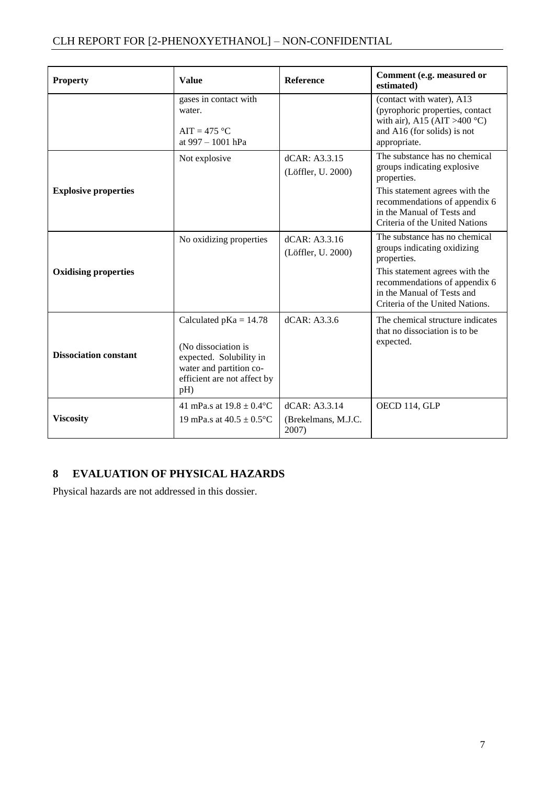| <b>Property</b>              | <b>Value</b>                                                                                                                                | <b>Reference</b>                              | Comment (e.g. measured or<br>estimated)                                                                                                                                                                         |
|------------------------------|---------------------------------------------------------------------------------------------------------------------------------------------|-----------------------------------------------|-----------------------------------------------------------------------------------------------------------------------------------------------------------------------------------------------------------------|
|                              | gases in contact with<br>water.<br>$AIT = 475 °C$<br>at 997 - 1001 hPa                                                                      |                                               | (contact with water), A13<br>(pyrophoric properties, contact<br>with air), A15 (AIT >400 °C)<br>and A16 (for solids) is not<br>appropriate.                                                                     |
| <b>Explosive properties</b>  | Not explosive                                                                                                                               | dCAR: A3.3.15<br>(Löffler, U. 2000)           | The substance has no chemical<br>groups indicating explosive<br>properties.<br>This statement agrees with the<br>recommendations of appendix 6<br>in the Manual of Tests and<br>Criteria of the United Nations  |
| <b>Oxidising properties</b>  | No oxidizing properties                                                                                                                     | dCAR: A3.3.16<br>(Löffler, U. 2000)           | The substance has no chemical<br>groups indicating oxidizing<br>properties.<br>This statement agrees with the<br>recommendations of appendix 6<br>in the Manual of Tests and<br>Criteria of the United Nations. |
| <b>Dissociation constant</b> | Calculated $pKa = 14.78$<br>(No dissociation is<br>expected. Solubility in<br>water and partition co-<br>efficient are not affect by<br>pH) | dCAR: A3.3.6                                  | The chemical structure indicates<br>that no dissociation is to be<br>expected.                                                                                                                                  |
| <b>Viscosity</b>             | 41 mPa.s at $19.8 \pm 0.4$ °C<br>19 mPa.s at $40.5 \pm 0.5$ °C                                                                              | dCAR: A3.3.14<br>(Brekelmans, M.J.C.<br>2007) | OECD 114, GLP                                                                                                                                                                                                   |

# <span id="page-9-0"></span>**8 EVALUATION OF PHYSICAL HAZARDS**

Physical hazards are not addressed in this dossier.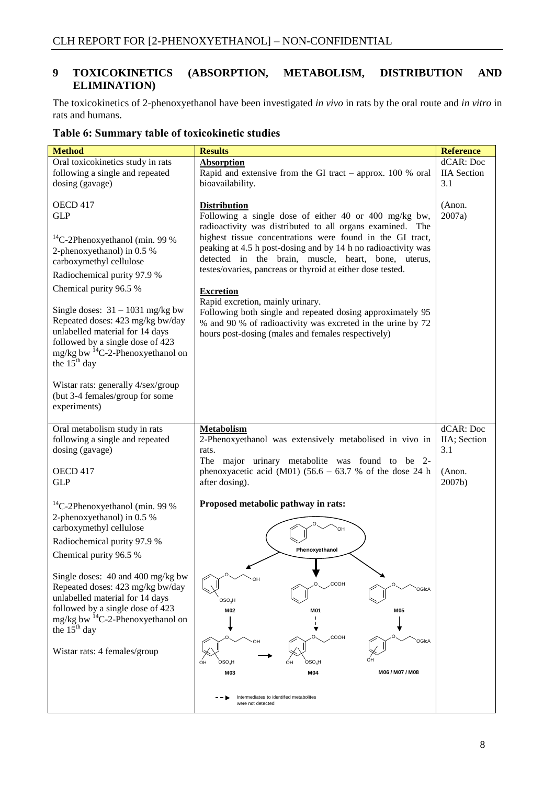### <span id="page-10-0"></span>**9 TOXICOKINETICS (ABSORPTION, METABOLISM, DISTRIBUTION AND ELIMINATION)**

The toxicokinetics of 2-phenoxyethanol have been investigated *in vivo* in rats by the oral route and *in vitro* in rats and humans.

| <b>Method</b>                                                                                                                                                                                                                                                                                                                                                                                                                                                                                 | <b>Results</b>                                                                                                                                                                                                                                                                                                                                                                                                                                                                                                                                                                                                                          | <b>Reference</b>                                     |
|-----------------------------------------------------------------------------------------------------------------------------------------------------------------------------------------------------------------------------------------------------------------------------------------------------------------------------------------------------------------------------------------------------------------------------------------------------------------------------------------------|-----------------------------------------------------------------------------------------------------------------------------------------------------------------------------------------------------------------------------------------------------------------------------------------------------------------------------------------------------------------------------------------------------------------------------------------------------------------------------------------------------------------------------------------------------------------------------------------------------------------------------------------|------------------------------------------------------|
| Oral toxicokinetics study in rats<br>following a single and repeated<br>dosing (gavage)                                                                                                                                                                                                                                                                                                                                                                                                       | <b>Absorption</b><br>Rapid and extensive from the GI tract - approx. 100 % oral<br>bioavailability.                                                                                                                                                                                                                                                                                                                                                                                                                                                                                                                                     | dCAR: Doc<br><b>IIA</b> Section<br>3.1               |
| OECD 417<br><b>GLP</b><br>$^{14}$ C-2Phenoxyethanol (min. 99 %)<br>2-phenoxyethanol) in 0.5 %<br>carboxymethyl cellulose<br>Radiochemical purity 97.9 %<br>Chemical purity 96.5 %<br>Single doses: $31 - 1031$ mg/kg bw<br>Repeated doses: 423 mg/kg bw/day<br>unlabelled material for 14 days<br>followed by a single dose of 423<br>mg/kg bw <sup>14</sup> C-2-Phenoxyethanol on<br>the $15th$ day<br>Wistar rats: generally 4/sex/group<br>(but 3-4 females/group for some<br>experiments) | <b>Distribution</b><br>Following a single dose of either 40 or 400 mg/kg bw,<br>radioactivity was distributed to all organs examined. The<br>highest tissue concentrations were found in the GI tract,<br>peaking at 4.5 h post-dosing and by 14 h no radioactivity was<br>detected in the brain, muscle, heart, bone, uterus,<br>testes/ovaries, pancreas or thyroid at either dose tested.<br><b>Excretion</b><br>Rapid excretion, mainly urinary.<br>Following both single and repeated dosing approximately 95<br>% and 90 % of radioactivity was excreted in the urine by 72<br>hours post-dosing (males and females respectively) | (Anon.<br>2007a)                                     |
| Oral metabolism study in rats<br>following a single and repeated<br>dosing (gavage)<br>OECD 417<br><b>GLP</b>                                                                                                                                                                                                                                                                                                                                                                                 | <b>Metabolism</b><br>2-Phenoxyethanol was extensively metabolised in vivo in<br>rats.<br>The major urinary metabolite was found to be 2-<br>phenoxyacetic acid (M01) $(56.6 - 63.7 %$ of the dose 24 h<br>after dosing).                                                                                                                                                                                                                                                                                                                                                                                                                | dCAR: Doc<br>IIA; Section<br>3.1<br>(Anon.<br>2007b) |
| $^{14}$ C-2Phenoxyethanol (min. 99 %)<br>2-phenoxyethanol) in 0.5 %<br>carboxymethyl cellulose<br>Radiochemical purity 97.9 %<br>Chemical purity 96.5 %<br>Single doses: 40 and 400 mg/kg bw<br>Repeated doses: 423 mg/kg bw/day<br>unlabelled material for 14 days<br>followed by a single dose of 423<br>mg/kg bw $^{14}$ C-2-Phenoxyethanol on<br>the $15^{th}$ day<br>Wistar rats: 4 females/group                                                                                        | Proposed metabolic pathway in rats:<br>OH<br>Phenoxyethanol<br>COOH<br>OGIcA<br>OSO <sub>3</sub> H<br>M02<br>M01<br>M05<br>v<br>COOH<br>OGIcA<br>OH<br>$OSO_3H$<br>OSO <sub>3</sub> H<br>ОН<br>M06 / M07 / M08<br>M03<br>M04<br>Intermediates to identified metabolites                                                                                                                                                                                                                                                                                                                                                                 |                                                      |
|                                                                                                                                                                                                                                                                                                                                                                                                                                                                                               | were not detected                                                                                                                                                                                                                                                                                                                                                                                                                                                                                                                                                                                                                       |                                                      |

#### **Table 6: Summary table of toxicokinetic studies**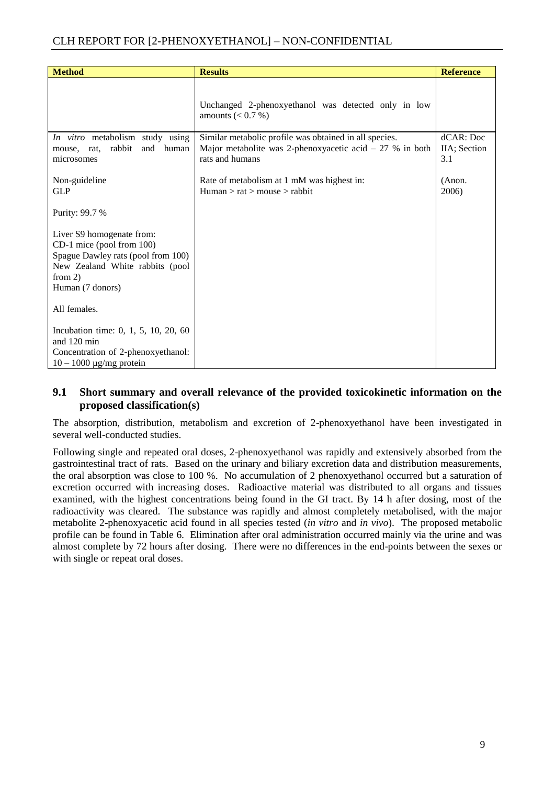| <b>Method</b>                                                                                                                                                    | <b>Results</b>                                                                                                                         | <b>Reference</b>                 |
|------------------------------------------------------------------------------------------------------------------------------------------------------------------|----------------------------------------------------------------------------------------------------------------------------------------|----------------------------------|
|                                                                                                                                                                  | Unchanged 2-phenoxyethanol was detected only in low<br>amounts $(< 0.7 %)$                                                             |                                  |
| In vitro metabolism study using<br>rabbit<br>human<br>and<br>rat,<br>mouse,<br>microsomes                                                                        | Similar metabolic profile was obtained in all species.<br>Major metabolite was 2-phenoxyacetic acid $-27$ % in both<br>rats and humans | dCAR: Doc<br>IIA; Section<br>3.1 |
| Non-guideline<br><b>GLP</b>                                                                                                                                      | Rate of metabolism at 1 mM was highest in:<br>Human > rat > mouse > rabbit                                                             | (Anon.<br>2006)                  |
| Purity: 99.7 %                                                                                                                                                   |                                                                                                                                        |                                  |
| Liver S9 homogenate from:<br>CD-1 mice (pool from 100)<br>Spague Dawley rats (pool from 100)<br>New Zealand White rabbits (pool<br>from $2)$<br>Human (7 donors) |                                                                                                                                        |                                  |
| All females.                                                                                                                                                     |                                                                                                                                        |                                  |
| Incubation time: 0, 1, 5, 10, 20, 60<br>and 120 min<br>Concentration of 2-phenoxyethanol:<br>$10 - 1000 \mu g/mg$ protein                                        |                                                                                                                                        |                                  |

#### <span id="page-11-0"></span>**9.1 Short summary and overall relevance of the provided toxicokinetic information on the proposed classification(s)**

The absorption, distribution, metabolism and excretion of 2-phenoxyethanol have been investigated in several well-conducted studies.

Following single and repeated oral doses, 2-phenoxyethanol was rapidly and extensively absorbed from the gastrointestinal tract of rats. Based on the urinary and biliary excretion data and distribution measurements, the oral absorption was close to 100 %. No accumulation of 2 phenoxyethanol occurred but a saturation of excretion occurred with increasing doses. Radioactive material was distributed to all organs and tissues examined, with the highest concentrations being found in the GI tract. By 14 h after dosing, most of the radioactivity was cleared. The substance was rapidly and almost completely metabolised, with the major metabolite 2-phenoxyacetic acid found in all species tested (*in vitro* and *in vivo*). The proposed metabolic profile can be found in Table 6. Elimination after oral administration occurred mainly via the urine and was almost complete by 72 hours after dosing. There were no differences in the end-points between the sexes or with single or repeat oral doses.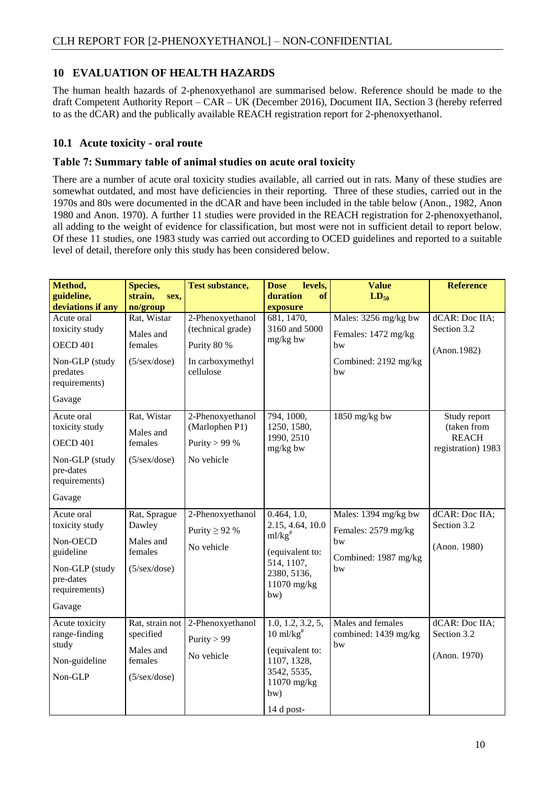#### <span id="page-12-0"></span>**10 EVALUATION OF HEALTH HAZARDS**

The human health hazards of 2-phenoxyethanol are summarised below. Reference should be made to the draft Competent Authority Report – CAR – UK (December 2016), Document IIA, Section 3 (hereby referred to as the dCAR) and the publically available REACH registration report for 2-phenoxyethanol.

#### <span id="page-12-1"></span>**10.1 Acute toxicity - oral route**

#### **Table 7: Summary table of animal studies on acute oral toxicity**

There are a number of acute oral toxicity studies available, all carried out in rats. Many of these studies are somewhat outdated, and most have deficiencies in their reporting. Three of these studies, carried out in the 1970s and 80s were documented in the dCAR and have been included in the table below (Anon., 1982, Anon 1980 and Anon. 1970). A further 11 studies were provided in the REACH registration for 2-phenoxyethanol, all adding to the weight of evidence for classification, but most were not in sufficient detail to report below. Of these 11 studies, one 1983 study was carried out according to OCED guidelines and reported to a suitable level of detail, therefore only this study has been considered below.

| Method,<br>guideline,                                                | Species,<br>strain,<br>sex,                                                          | <b>Test substance,</b>                                             | levels,<br><b>Dose</b><br>duration<br>of                                                                                         | <b>Value</b><br>$LD_{50}$                         | <b>Reference</b>                                                  |
|----------------------------------------------------------------------|--------------------------------------------------------------------------------------|--------------------------------------------------------------------|----------------------------------------------------------------------------------------------------------------------------------|---------------------------------------------------|-------------------------------------------------------------------|
| deviations if any                                                    | no/group                                                                             |                                                                    | exposure                                                                                                                         |                                                   |                                                                   |
| Acute oral<br>toxicity study<br><b>OECD 401</b>                      | Rat, Wistar<br>Males and<br>females                                                  | 2-Phenoxyethanol<br>(technical grade)<br>Purity 80 %               | 681, 1470,<br>3160 and 5000<br>mg/kg bw                                                                                          | Males: 3256 mg/kg bw<br>Females: 1472 mg/kg<br>bw | dCAR: Doc IIA;<br>Section 3.2<br>(Anon.1982)                      |
| Non-GLP (study<br>predates<br>requirements)                          | $(5/\text{sex}/\text{dose})$                                                         | In carboxymethyl<br>cellulose                                      |                                                                                                                                  | Combined: 2192 mg/kg<br>bw                        |                                                                   |
| Gavage                                                               |                                                                                      |                                                                    |                                                                                                                                  |                                                   |                                                                   |
| Acute oral<br>toxicity study<br><b>OECD 401</b><br>Non-GLP (study    | Rat, Wistar<br>Males and<br>females<br>$(5/\text{sex}/\text{dose})$                  | 2-Phenoxyethanol<br>(Marlophen P1)<br>Purity $> 99%$<br>No vehicle | 794, 1000,<br>1250, 1580,<br>1990, 2510<br>mg/kg bw                                                                              | 1850 mg/kg bw                                     | Study report<br>(taken from<br><b>REACH</b><br>registration) 1983 |
| pre-dates<br>requirements)                                           |                                                                                      |                                                                    |                                                                                                                                  |                                                   |                                                                   |
| Gavage                                                               |                                                                                      |                                                                    |                                                                                                                                  |                                                   |                                                                   |
| Acute oral<br>toxicity study<br>Non-OECD<br>guideline                | Rat, Sprague<br>Dawley<br>Males and<br>females                                       | 2-Phenoxyethanol<br>Purity $\geq$ 92 %<br>No vehicle               | 0.464, 1.0,<br>2.15, 4.64, 10.0<br>$ml/kg$ <sup>#</sup><br>(equivalent to:                                                       | Males: 1394 mg/kg bw<br>Females: 2579 mg/kg<br>bw | dCAR: Doc IIA;<br>Section 3.2<br>(Anon. 1980)                     |
| Non-GLP (study<br>pre-dates<br>requirements)<br>Gavage               | $(5/\text{sex}/\text{dose})$                                                         |                                                                    | 514, 1107,<br>2380, 5136,<br>11070 mg/kg<br>bw)                                                                                  | Combined: 1987 mg/kg<br>bw                        |                                                                   |
| Acute toxicity<br>range-finding<br>study<br>Non-guideline<br>Non-GLP | Rat, strain not<br>specified<br>Males and<br>females<br>$(5/\text{sex}/\text{dose})$ | 2-Phenoxyethanol<br>Purity $> 99$<br>No vehicle                    | 1.0, 1.2, 3.2, 5,<br>$10 \text{ ml/kg}^*$<br>(equivalent to:<br>1107, 1328,<br>3542, 5535,<br>11070 mg/kg<br>bw)<br>$14$ d post- | Males and females<br>combined: 1439 mg/kg<br>bw   | dCAR: Doc IIA;<br>Section 3.2<br>(Anon. 1970)                     |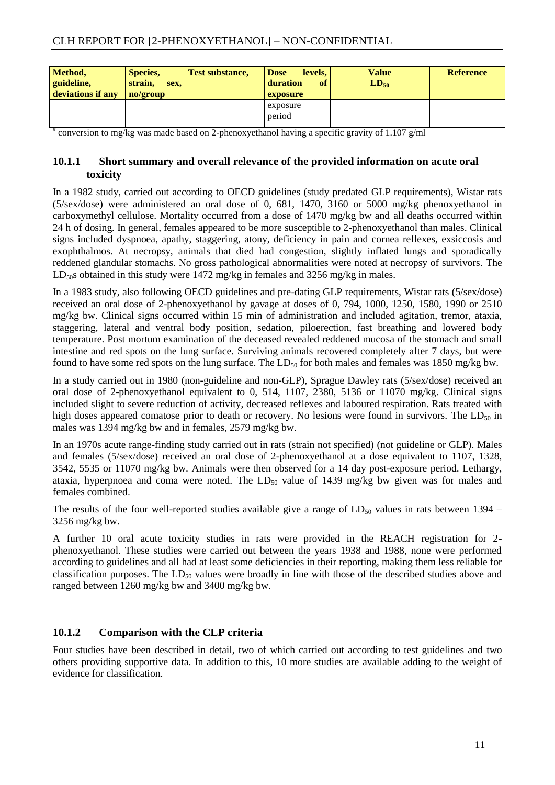| Method,<br>guideline,<br>deviations if any | <b>Species,</b><br>strain,<br>sex,<br>no/group | <b>Test substance,</b> | <b>Dose</b><br>levels.<br><sup>of</sup><br>duration<br>exposure | Value<br>$LD_{50}$ | <b>Reference</b> |
|--------------------------------------------|------------------------------------------------|------------------------|-----------------------------------------------------------------|--------------------|------------------|
|                                            |                                                |                        | exposure<br>period                                              |                    |                  |

<span id="page-13-0"></span># conversion to mg/kg was made based on 2-phenoxyethanol having a specific gravity of 1.107 g/ml

#### **10.1.1 Short summary and overall relevance of the provided information on acute oral toxicity**

In a 1982 study, carried out according to OECD guidelines (study predated GLP requirements), Wistar rats (5/sex/dose) were administered an oral dose of 0, 681, 1470, 3160 or 5000 mg/kg phenoxyethanol in carboxymethyl cellulose. Mortality occurred from a dose of 1470 mg/kg bw and all deaths occurred within 24 h of dosing. In general, females appeared to be more susceptible to 2-phenoxyethanol than males. Clinical signs included dyspnoea, apathy, staggering, atony, deficiency in pain and cornea reflexes, exsiccosis and exophthalmos. At necropsy, animals that died had congestion, slightly inflated lungs and sporadically reddened glandular stomachs. No gross pathological abnormalities were noted at necropsy of survivors. The  $LD_{50}$ s obtained in this study were 1472 mg/kg in females and 3256 mg/kg in males.

In a 1983 study, also following OECD guidelines and pre-dating GLP requirements, Wistar rats (5/sex/dose) received an oral dose of 2-phenoxyethanol by gavage at doses of 0, 794, 1000, 1250, 1580, 1990 or 2510 mg/kg bw. Clinical signs occurred within 15 min of administration and included agitation, tremor, ataxia, staggering, lateral and ventral body position, sedation, piloerection, fast breathing and lowered body temperature. Post mortum examination of the deceased revealed reddened mucosa of the stomach and small intestine and red spots on the lung surface. Surviving animals recovered completely after 7 days, but were found to have some red spots on the lung surface. The  $LD_{50}$  for both males and females was 1850 mg/kg bw.

In a study carried out in 1980 (non-guideline and non-GLP), Sprague Dawley rats (5/sex/dose) received an oral dose of 2-phenoxyethanol equivalent to 0, 514, 1107, 2380, 5136 or 11070 mg/kg. Clinical signs included slight to severe reduction of activity, decreased reflexes and laboured respiration. Rats treated with high doses appeared comatose prior to death or recovery. No lesions were found in survivors. The  $LD_{50}$  in males was 1394 mg/kg bw and in females, 2579 mg/kg bw.

In an 1970s acute range-finding study carried out in rats (strain not specified) (not guideline or GLP). Males and females (5/sex/dose) received an oral dose of 2-phenoxyethanol at a dose equivalent to 1107, 1328, 3542, 5535 or 11070 mg/kg bw. Animals were then observed for a 14 day post-exposure period. Lethargy, ataxia, hyperpnoea and coma were noted. The  $LD_{50}$  value of 1439 mg/kg bw given was for males and females combined.

The results of the four well-reported studies available give a range of  $LD_{50}$  values in rats between 1394 – 3256 mg/kg bw.

A further 10 oral acute toxicity studies in rats were provided in the REACH registration for 2 phenoxyethanol. These studies were carried out between the years 1938 and 1988, none were performed according to guidelines and all had at least some deficiencies in their reporting, making them less reliable for classification purposes. The  $LD_{50}$  values were broadly in line with those of the described studies above and ranged between 1260 mg/kg bw and 3400 mg/kg bw.

## <span id="page-13-1"></span>**10.1.2 Comparison with the CLP criteria**

Four studies have been described in detail, two of which carried out according to test guidelines and two others providing supportive data. In addition to this, 10 more studies are available adding to the weight of evidence for classification.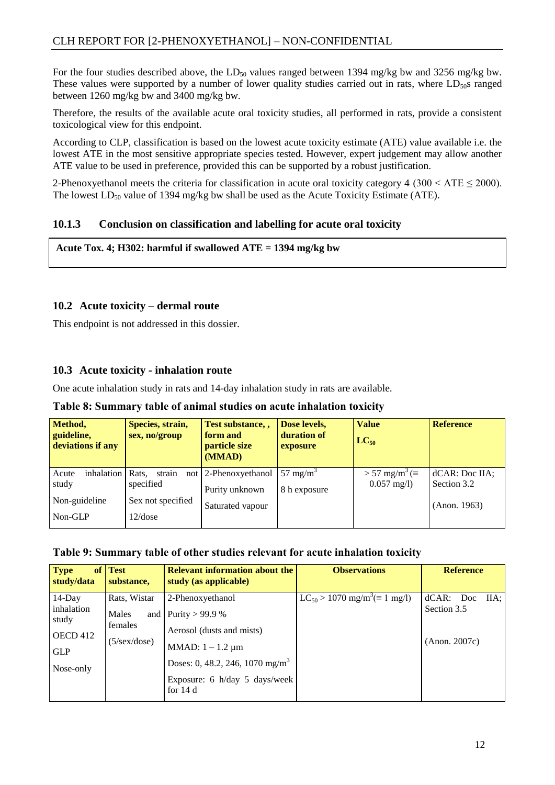For the four studies described above, the  $LD_{50}$  values ranged between 1394 mg/kg bw and 3256 mg/kg bw. These values were supported by a number of lower quality studies carried out in rats, where  $LD<sub>50</sub>$  ranged between 1260 mg/kg bw and 3400 mg/kg bw.

Therefore, the results of the available acute oral toxicity studies, all performed in rats, provide a consistent toxicological view for this endpoint.

According to CLP, classification is based on the lowest acute toxicity estimate (ATE) value available i.e. the lowest ATE in the most sensitive appropriate species tested. However, expert judgement may allow another ATE value to be used in preference, provided this can be supported by a robust justification.

2-Phenoxyethanol meets the criteria for classification in acute oral toxicity category 4 (300 < ATE  $\leq$  2000). The lowest  $LD_{50}$  value of 1394 mg/kg bw shall be used as the Acute Toxicity Estimate (ATE).

#### <span id="page-14-0"></span>**10.1.3 Conclusion on classification and labelling for acute oral toxicity**

**Acute Tox. 4; H302: harmful if swallowed ATE = 1394 mg/kg bw**

#### <span id="page-14-1"></span>**10.2 Acute toxicity – dermal route**

This endpoint is not addressed in this dossier.

#### **10.3 Acute toxicity - inhalation route**

One acute inhalation study in rats and 14-day inhalation study in rats are available.

**Table 8: Summary table of animal studies on acute inhalation toxicity**

| Method,<br>guideline,<br>deviations if any | Species, strain,<br>sex, no/group | Test substance, ,<br>form and<br>particle size<br>(MMAD) | Dose levels,<br>duration of<br>exposure | <b>Value</b><br>$LC_{50}$           | <b>Reference</b>   |
|--------------------------------------------|-----------------------------------|----------------------------------------------------------|-----------------------------------------|-------------------------------------|--------------------|
| inhalation<br>Acute                        | Rats.<br>strain                   | not 2-Phenoxyethanol                                     | 57 mg/m <sup>3</sup>                    | $> 57$ mg/m <sup>3</sup> ( $\equiv$ | dCAR: Doc IIA;     |
| study                                      | specified                         | Purity unknown                                           | 8 h exposure                            | $0.057 \text{ mg/l}$                | Section 3.2        |
| Non-guideline                              | Sex not specified                 | Saturated vapour                                         |                                         |                                     | $($ Anon. 1963 $)$ |
| Non-GLP                                    | 12/dose                           |                                                          |                                         |                                     |                    |

#### **Table 9: Summary table of other studies relevant for acute inhalation toxicity**

| <b>Type</b><br><b>of</b><br>study/data                                  | <b>Test</b><br>substance,                                        | <b>Relevant information about the</b><br>study (as applicable)                                                                                                                             | <b>Observations</b>                                   | <b>Reference</b>                               |
|-------------------------------------------------------------------------|------------------------------------------------------------------|--------------------------------------------------------------------------------------------------------------------------------------------------------------------------------------------|-------------------------------------------------------|------------------------------------------------|
| $14$ -Day<br>inhalation<br>study<br>OECD 412<br><b>GLP</b><br>Nose-only | Rats, Wistar<br>Males<br>females<br>$(5/\text{sex}/\text{dose})$ | 2-Phenoxyethanol<br>and Purity > 99.9 %<br>Aerosol (dusts and mists)<br>MMAD: $1 - 1.2 \mu m$<br>Doses: 0, 48.2, 246, 1070 mg/m <sup>3</sup><br>Exposure: 6 h/day 5 days/week<br>for $14d$ | $LC_{50} > 1070$ mg/m <sup>3</sup> ( $\equiv 1$ mg/l) | dCAR: Doc IIA;<br>Section 3.5<br>(Anon. 2007c) |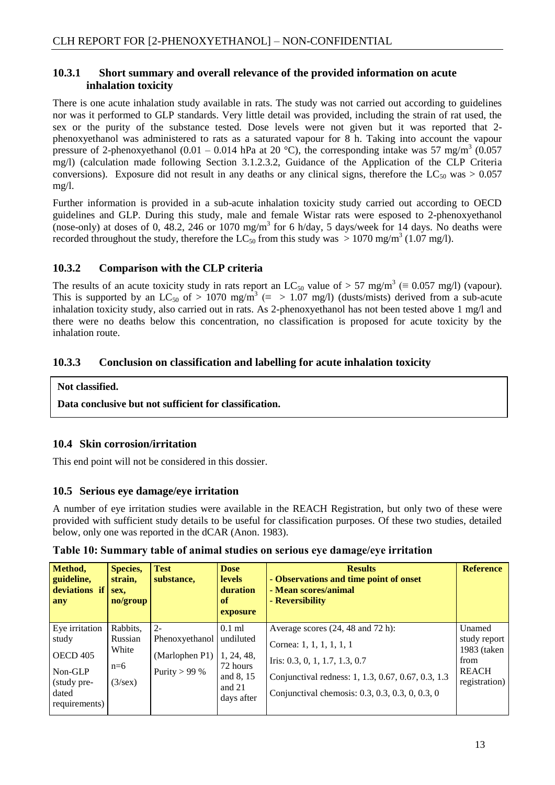#### <span id="page-15-0"></span>**10.3.1 Short summary and overall relevance of the provided information on acute inhalation toxicity**

There is one acute inhalation study available in rats. The study was not carried out according to guidelines nor was it performed to GLP standards. Very little detail was provided, including the strain of rat used, the sex or the purity of the substance tested. Dose levels were not given but it was reported that 2 phenoxyethanol was administered to rats as a saturated vapour for 8 h. Taking into account the vapour pressure of 2-phenoxyethanol (0.01 – 0.014 hPa at 20 °C), the corresponding intake was 57 mg/m<sup>3</sup> (0.057 mg/l) (calculation made following Section 3.1.2.3.2, Guidance of the Application of the CLP Criteria conversions). Exposure did not result in any deaths or any clinical signs, therefore the LC<sub>50</sub> was  $> 0.057$ mg/l.

Further information is provided in a sub-acute inhalation toxicity study carried out according to OECD guidelines and GLP. During this study, male and female Wistar rats were esposed to 2-phenoxyethanol (nose-only) at doses of 0, 48.2, 246 or 1070 mg/m<sup>3</sup> for 6 h/day, 5 days/week for 14 days. No deaths were recorded throughout the study, therefore the  $LC_{50}$  from this study was  $> 1070$  mg/m<sup>3</sup> (1.07 mg/l).

### <span id="page-15-1"></span>**10.3.2 Comparison with the CLP criteria**

The results of an acute toxicity study in rats report an LC<sub>50</sub> value of > 57 mg/m<sup>3</sup> ( $\equiv 0.057$  mg/l) (vapour). This is supported by an LC<sub>50</sub> of > 1070 mg/m<sup>3</sup> ( $\equiv$  > 1.07 mg/l) (dusts/mists) derived from a sub-acute inhalation toxicity study, also carried out in rats. As 2-phenoxyethanol has not been tested above 1 mg/l and there were no deaths below this concentration, no classification is proposed for acute toxicity by the inhalation route.

### <span id="page-15-2"></span>**10.3.3 Conclusion on classification and labelling for acute inhalation toxicity**

#### **Not classified.**

**Data conclusive but not sufficient for classification.**

#### <span id="page-15-3"></span>**10.4 Skin corrosion/irritation**

This end point will not be considered in this dossier.

#### <span id="page-15-4"></span>**10.5 Serious eye damage/eye irritation**

A number of eye irritation studies were available in the REACH Registration, but only two of these were provided with sufficient study details to be useful for classification purposes. Of these two studies, detailed below, only one was reported in the dCAR (Anon. 1983).

| Method,<br>guideline,<br>deviations if<br>any    | <b>Species,</b><br>strain,<br>sex.<br>no/group | <b>Test</b><br>substance, | <b>Dose</b><br><b>levels</b><br>duration<br>of<br>exposure | <b>Results</b><br>- Observations and time point of onset<br>- Mean scores/animal<br>- Reversibility   | <b>Reference</b>              |
|--------------------------------------------------|------------------------------------------------|---------------------------|------------------------------------------------------------|-------------------------------------------------------------------------------------------------------|-------------------------------|
| Eye irritation                                   | Rabbits,                                       | $2 -$                     | $0.1$ ml                                                   | Average scores (24, 48 and 72 h):                                                                     | Unamed                        |
| study                                            | Russian                                        | Phenoxyethanol            | undiluted                                                  | Cornea: 1, 1, 1, 1, 1, 1                                                                              | study report                  |
| <b>OECD 405</b>                                  | White                                          | (Marlophen P1)            | 1, 24, 48,                                                 | Iris: 0.3, 0, 1, 1.7, 1.3, 0.7                                                                        | 1983 (taken<br>from           |
| Non-GLP<br>(study pre-<br>dated<br>requirements) | $n=6$<br>$(3/\text{sex})$                      | Purity $> 99%$            | 72 hours<br>and 8, 15<br>and 21<br>days after              | Conjunctival redness: 1, 1.3, 0.67, 0.67, 0.3, 1.3<br>Conjunctival chemosis: 0.3, 0.3, 0.3, 0, 0.3, 0 | <b>REACH</b><br>registration) |

**Table 10: Summary table of animal studies on serious eye damage/eye irritation**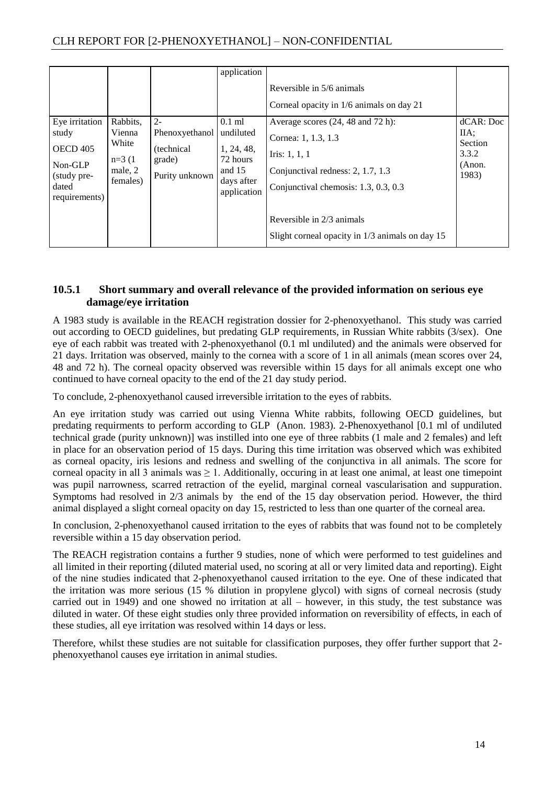| Eye irritation<br>study<br>OECD 405<br>Non-GLP<br>(study pre-<br>dated<br>requirements) | Rabbits,<br>Vienna<br>White<br>$n=3(1)$<br>male, 2<br>females) | $2 -$<br>Phenoxyethanol<br>(technical)<br>grade)<br>Purity unknown | application<br>$0.1$ ml<br>undiluted<br>1, 24, 48,<br>72 hours<br>and $15$<br>days after<br>application | Reversible in 5/6 animals<br>Corneal opacity in 1/6 animals on day 21<br>Average scores (24, 48 and 72 h):<br>Cornea: 1, 1.3, 1.3<br>Iris: $1, 1, 1$<br>Conjunctival redness: 2, 1.7, 1.3<br>Conjunctival chemosis: 1.3, 0.3, 0.3 | dCAR: Doc<br>IIA:<br><b>Section</b><br>3.3.2<br>(Anon.<br>1983) |
|-----------------------------------------------------------------------------------------|----------------------------------------------------------------|--------------------------------------------------------------------|---------------------------------------------------------------------------------------------------------|-----------------------------------------------------------------------------------------------------------------------------------------------------------------------------------------------------------------------------------|-----------------------------------------------------------------|
|                                                                                         |                                                                |                                                                    |                                                                                                         | Reversible in 2/3 animals<br>Slight corneal opacity in 1/3 animals on day 15                                                                                                                                                      |                                                                 |

#### <span id="page-16-0"></span>**10.5.1 Short summary and overall relevance of the provided information on serious eye damage/eye irritation**

A 1983 study is available in the REACH registration dossier for 2-phenoxyethanol. This study was carried out according to OECD guidelines, but predating GLP requirements, in Russian White rabbits (3/sex). One eye of each rabbit was treated with 2-phenoxyethanol (0.1 ml undiluted) and the animals were observed for 21 days. Irritation was observed, mainly to the cornea with a score of 1 in all animals (mean scores over 24, 48 and 72 h). The corneal opacity observed was reversible within 15 days for all animals except one who continued to have corneal opacity to the end of the 21 day study period.

To conclude, 2-phenoxyethanol caused irreversible irritation to the eyes of rabbits.

An eye irritation study was carried out using Vienna White rabbits, following OECD guidelines, but predating requirments to perform according to GLP (Anon. 1983). 2-Phenoxyethanol [0.1 ml of undiluted technical grade (purity unknown)] was instilled into one eye of three rabbits (1 male and 2 females) and left in place for an observation period of 15 days. During this time irritation was observed which was exhibited as corneal opacity, iris lesions and redness and swelling of the conjunctiva in all animals. The score for corneal opacity in all 3 animals was  $\geq 1$ . Additionally, occuring in at least one animal, at least one timepoint was pupil narrowness, scarred retraction of the eyelid, marginal corneal vascularisation and suppuration. Symptoms had resolved in 2/3 animals by the end of the 15 day observation period. However, the third animal displayed a slight corneal opacity on day 15, restricted to less than one quarter of the corneal area.

In conclusion, 2-phenoxyethanol caused irritation to the eyes of rabbits that was found not to be completely reversible within a 15 day observation period.

The REACH registration contains a further 9 studies, none of which were performed to test guidelines and all limited in their reporting (diluted material used, no scoring at all or very limited data and reporting). Eight of the nine studies indicated that 2-phenoxyethanol caused irritation to the eye. One of these indicated that the irritation was more serious (15 % dilution in propylene glycol) with signs of corneal necrosis (study carried out in 1949) and one showed no irritation at all – however, in this study, the test substance was diluted in water. Of these eight studies only three provided information on reversibility of effects, in each of these studies, all eye irritation was resolved within 14 days or less.

Therefore, whilst these studies are not suitable for classification purposes, they offer further support that 2 phenoxyethanol causes eye irritation in animal studies.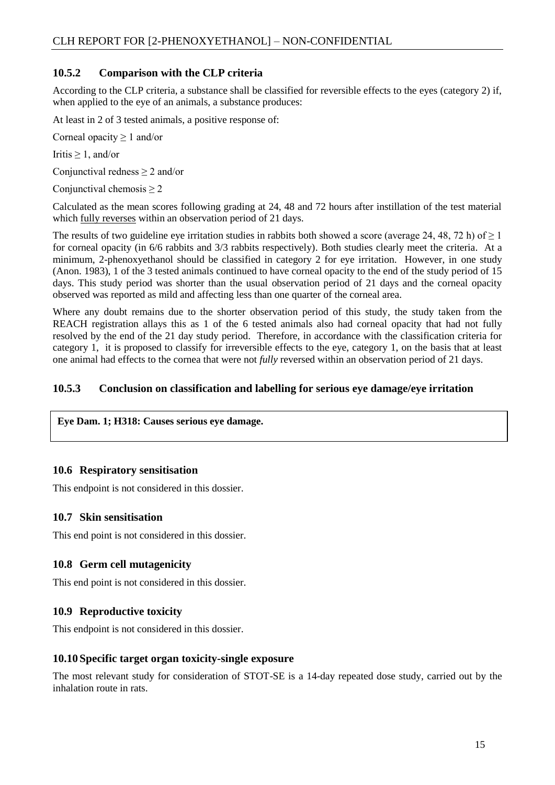#### <span id="page-17-0"></span>**10.5.2 Comparison with the CLP criteria**

According to the CLP criteria, a substance shall be classified for reversible effects to the eyes (category 2) if, when applied to the eye of an animals, a substance produces:

At least in 2 of 3 tested animals, a positive response of:

Corneal opacity  $\geq 1$  and/or

Iritis  $\geq 1$ , and/or

Conjunctival redness  $\geq 2$  and/or

Conjunctival chemosis  $\geq 2$ 

Calculated as the mean scores following grading at 24, 48 and 72 hours after instillation of the test material which <u>fully reverses</u> within an observation period of 21 days.

The results of two guideline eye irritation studies in rabbits both showed a score (average 24, 48, 72 h) of  $\geq 1$ for corneal opacity (in 6/6 rabbits and 3/3 rabbits respectively). Both studies clearly meet the criteria. At a minimum, 2-phenoxyethanol should be classified in category 2 for eye irritation. However, in one study (Anon. 1983), 1 of the 3 tested animals continued to have corneal opacity to the end of the study period of 15 days. This study period was shorter than the usual observation period of 21 days and the corneal opacity observed was reported as mild and affecting less than one quarter of the corneal area.

Where any doubt remains due to the shorter observation period of this study, the study taken from the REACH registration allays this as 1 of the 6 tested animals also had corneal opacity that had not fully resolved by the end of the 21 day study period. Therefore, in accordance with the classification criteria for category 1, it is proposed to classify for irreversible effects to the eye, category 1, on the basis that at least one animal had effects to the cornea that were not *fully* reversed within an observation period of 21 days.

#### <span id="page-17-1"></span>**10.5.3 Conclusion on classification and labelling for serious eye damage/eye irritation**

#### **Eye Dam. 1; H318: Causes serious eye damage.**

#### <span id="page-17-2"></span>**10.6 Respiratory sensitisation**

This endpoint is not considered in this dossier.

#### <span id="page-17-3"></span>**10.7 Skin sensitisation**

This end point is not considered in this dossier.

#### <span id="page-17-4"></span>**10.8 Germ cell mutagenicity**

This end point is not considered in this dossier.

#### <span id="page-17-5"></span>**10.9 Reproductive toxicity**

This endpoint is not considered in this dossier.

#### <span id="page-17-6"></span>**10.10 Specific target organ toxicity-single exposure**

The most relevant study for consideration of STOT-SE is a 14-day repeated dose study, carried out by the inhalation route in rats.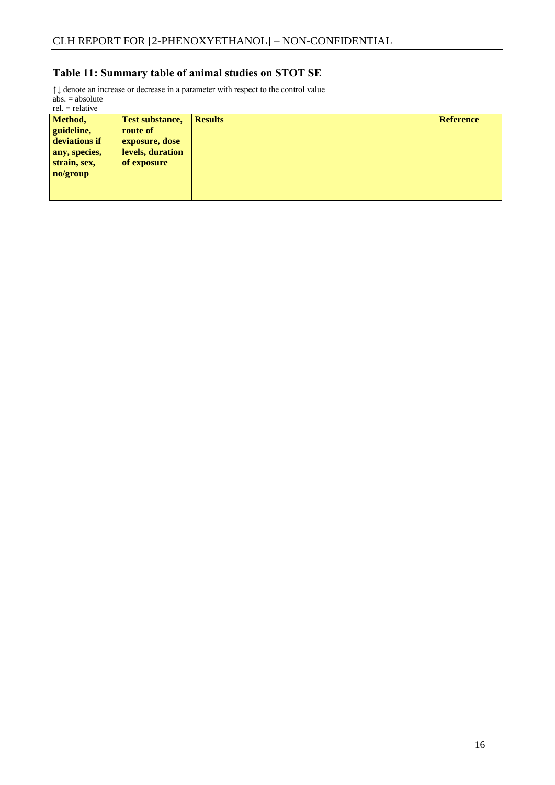# **Table 11: Summary table of animal studies on STOT SE**

↑↓ denote an increase or decrease in a parameter with respect to the control value  $abs. = absolute$ 

rel. = relative

| Method,<br>guideline,<br>deviations if | <b>Test substance,</b><br>route of<br>exposure, dose | <b>Results</b> | <b>Reference</b> |
|----------------------------------------|------------------------------------------------------|----------------|------------------|
| any, species,<br>strain, sex,          | levels, duration<br>of exposure                      |                |                  |
| no/group                               |                                                      |                |                  |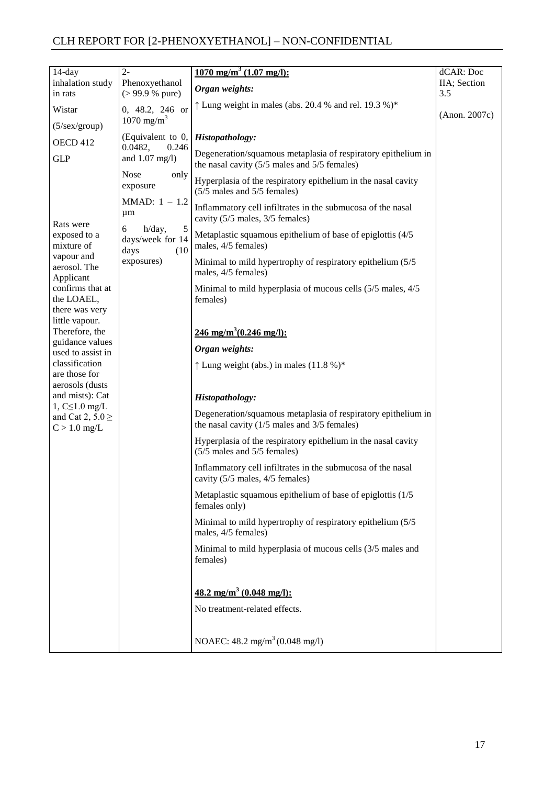| $14$ -day                                           | $2 -$                                                | $\frac{1070 \text{ mg/m}^3}{(1.07 \text{ mg/l})}$ :                                                                              | dCAR: Doc           |
|-----------------------------------------------------|------------------------------------------------------|----------------------------------------------------------------------------------------------------------------------------------|---------------------|
| inhalation study<br>in rats                         | Phenoxyethanol<br>$( > 99.9 %$ pure)                 | Organ weights:                                                                                                                   | IIA; Section<br>3.5 |
| Wistar                                              | 0, 48.2, 246 or                                      | $\uparrow$ Lung weight in males (abs. 20.4 % and rel. 19.3 %)*                                                                   |                     |
| $(5/\text{sex/group})$                              | $1070 \text{ mg/m}^3$                                |                                                                                                                                  | (Anon. 2007c)       |
| OECD 412                                            | (Equivalent to 0,<br>0.0482,<br>0.246                | Histopathology:                                                                                                                  |                     |
| <b>GLP</b>                                          | and $1.07$ mg/l)                                     | Degeneration/squamous metaplasia of respiratory epithelium in<br>the nasal cavity $(5/5 \text{ males and } 5/5 \text{ females})$ |                     |
|                                                     | <b>Nose</b><br>only<br>exposure                      | Hyperplasia of the respiratory epithelium in the nasal cavity<br>(5/5 males and 5/5 females)                                     |                     |
|                                                     | MMAD: $1 - 1.2$<br>$\mu$ m                           | Inflammatory cell infiltrates in the submucosa of the nasal<br>cavity (5/5 males, 3/5 females)                                   |                     |
| Rats were<br>exposed to a<br>mixture of             | 5<br>h/day,<br>6<br>days/week for 14<br>days<br>(10) | Metaplastic squamous epithelium of base of epiglottis (4/5)<br>males, 4/5 females)                                               |                     |
| vapour and<br>aerosol. The<br>Applicant             | exposures)                                           | Minimal to mild hypertrophy of respiratory epithelium (5/5)<br>males, 4/5 females)                                               |                     |
| confirms that at<br>the LOAEL,<br>there was very    |                                                      | Minimal to mild hyperplasia of mucous cells (5/5 males, 4/5)<br>females)                                                         |                     |
| little vapour.<br>Therefore, the<br>guidance values |                                                      | 246 mg/m <sup>3</sup> (0.246 mg/l):                                                                                              |                     |
| used to assist in                                   |                                                      | Organ weights:                                                                                                                   |                     |
| classification<br>are those for<br>aerosols (dusts  |                                                      | $\uparrow$ Lung weight (abs.) in males (11.8 %)*                                                                                 |                     |
| and mists): Cat<br>$1, C \leq 1.0$ mg/L             |                                                      | Histopathology:                                                                                                                  |                     |
| and Cat 2, $5.0 \ge$<br>$C > 1.0$ mg/L              |                                                      | Degeneration/squamous metaplasia of respiratory epithelium in<br>the nasal cavity $(1/5 \text{ males and } 3/5 \text{ females})$ |                     |
|                                                     |                                                      | Hyperplasia of the respiratory epithelium in the nasal cavity<br>$(5/5$ males and $5/5$ females)                                 |                     |
|                                                     |                                                      | Inflammatory cell infiltrates in the submucosa of the nasal<br>cavity (5/5 males, 4/5 females)                                   |                     |
|                                                     |                                                      | Metaplastic squamous epithelium of base of epiglottis (1/5)<br>females only)                                                     |                     |
|                                                     |                                                      | Minimal to mild hypertrophy of respiratory epithelium (5/5)<br>males, 4/5 females)                                               |                     |
|                                                     |                                                      | Minimal to mild hyperplasia of mucous cells (3/5 males and<br>females)                                                           |                     |
|                                                     |                                                      | $48.2 \text{ mg/m}^3$ (0.048 mg/l):<br>No treatment-related effects.                                                             |                     |
|                                                     |                                                      | NOAEC: $48.2 \text{ mg/m}^3 (0.048 \text{ mg/l})$                                                                                |                     |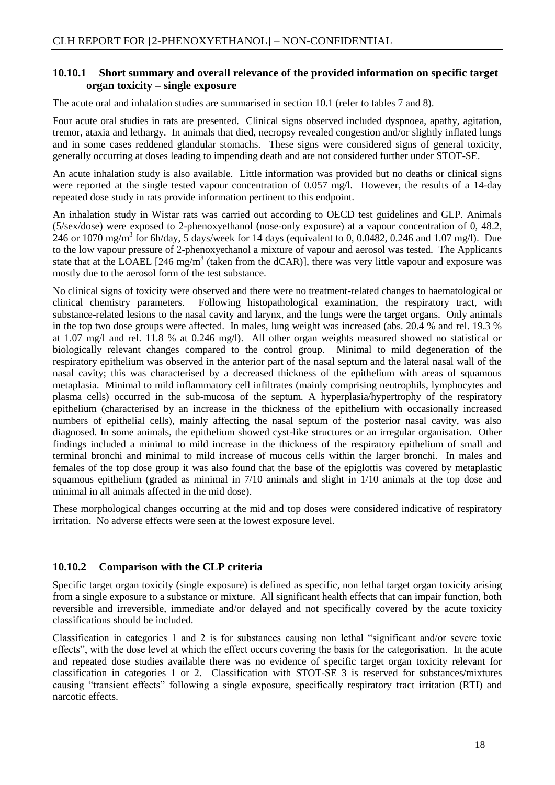#### <span id="page-20-0"></span>**10.10.1 Short summary and overall relevance of the provided information on specific target organ toxicity – single exposure**

The acute oral and inhalation studies are summarised in section 10.1 (refer to tables 7 and 8).

Four acute oral studies in rats are presented. Clinical signs observed included dyspnoea, apathy, agitation, tremor, ataxia and lethargy. In animals that died, necropsy revealed congestion and/or slightly inflated lungs and in some cases reddened glandular stomachs. These signs were considered signs of general toxicity, generally occurring at doses leading to impending death and are not considered further under STOT-SE.

An acute inhalation study is also available. Little information was provided but no deaths or clinical signs were reported at the single tested vapour concentration of 0.057 mg/l. However, the results of a 14-day repeated dose study in rats provide information pertinent to this endpoint.

An inhalation study in Wistar rats was carried out according to OECD test guidelines and GLP. Animals (5/sex/dose) were exposed to 2-phenoxyethanol (nose-only exposure) at a vapour concentration of 0, 48.2, 246 or 1070 mg/m<sup>3</sup> for 6h/day, 5 days/week for 14 days (equivalent to 0, 0.0482, 0.246 and 1.07 mg/l). Due to the low vapour pressure of 2-phenoxyethanol a mixture of vapour and aerosol was tested. The Applicants state that at the LOAEL  $[246 \text{ mg/m}^3$  (taken from the dCAR)], there was very little vapour and exposure was mostly due to the aerosol form of the test substance.

No clinical signs of toxicity were observed and there were no treatment-related changes to haematological or clinical chemistry parameters. Following histopathological examination, the respiratory tract, with substance-related lesions to the nasal cavity and larynx, and the lungs were the target organs. Only animals in the top two dose groups were affected. In males, lung weight was increased (abs. 20.4 % and rel. 19.3 % at 1.07 mg/l and rel. 11.8 % at 0.246 mg/l). All other organ weights measured showed no statistical or biologically relevant changes compared to the control group. Minimal to mild degeneration of the respiratory epithelium was observed in the anterior part of the nasal septum and the lateral nasal wall of the nasal cavity; this was characterised by a decreased thickness of the epithelium with areas of squamous metaplasia. Minimal to mild inflammatory cell infiltrates (mainly comprising neutrophils, lymphocytes and plasma cells) occurred in the sub-mucosa of the septum. A hyperplasia/hypertrophy of the respiratory epithelium (characterised by an increase in the thickness of the epithelium with occasionally increased numbers of epithelial cells), mainly affecting the nasal septum of the posterior nasal cavity, was also diagnosed. In some animals, the epithelium showed cyst-like structures or an irregular organisation. Other findings included a minimal to mild increase in the thickness of the respiratory epithelium of small and terminal bronchi and minimal to mild increase of mucous cells within the larger bronchi. In males and females of the top dose group it was also found that the base of the epiglottis was covered by metaplastic squamous epithelium (graded as minimal in 7/10 animals and slight in 1/10 animals at the top dose and minimal in all animals affected in the mid dose).

These morphological changes occurring at the mid and top doses were considered indicative of respiratory irritation. No adverse effects were seen at the lowest exposure level.

#### <span id="page-20-1"></span>**10.10.2 Comparison with the CLP criteria**

Specific target organ toxicity (single exposure) is defined as specific, non lethal target organ toxicity arising from a single exposure to a substance or mixture. All significant health effects that can impair function, both reversible and irreversible, immediate and/or delayed and not specifically covered by the acute toxicity classifications should be included.

Classification in categories 1 and 2 is for substances causing non lethal "significant and/or severe toxic effects", with the dose level at which the effect occurs covering the basis for the categorisation. In the acute and repeated dose studies available there was no evidence of specific target organ toxicity relevant for classification in categories 1 or 2. Classification with STOT-SE 3 is reserved for substances/mixtures causing "transient effects" following a single exposure, specifically respiratory tract irritation (RTI) and narcotic effects.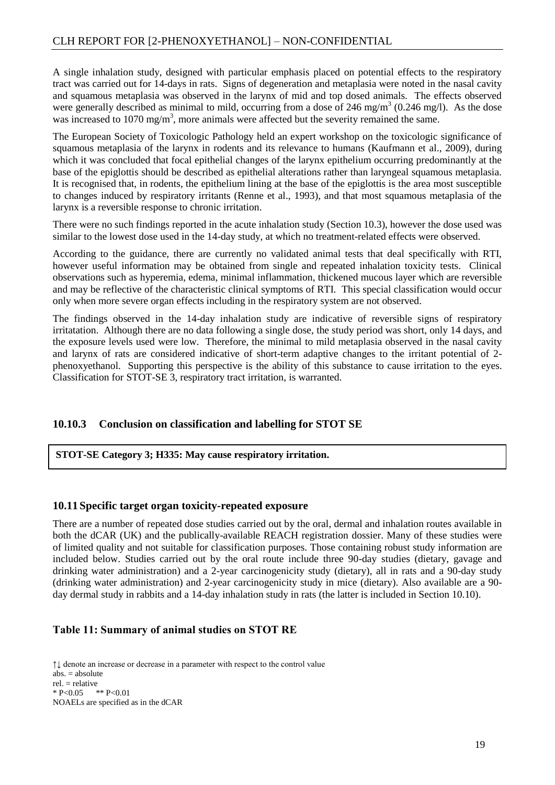A single inhalation study, designed with particular emphasis placed on potential effects to the respiratory tract was carried out for 14-days in rats. Signs of degeneration and metaplasia were noted in the nasal cavity and squamous metaplasia was observed in the larynx of mid and top dosed animals. The effects observed were generally described as minimal to mild, occurring from a dose of 246 mg/m<sup>3</sup> (0.246 mg/l). As the dose was increased to 1070 mg/m<sup>3</sup>, more animals were affected but the severity remained the same.

The European Society of Toxicologic Pathology held an expert workshop on the toxicologic significance of squamous metaplasia of the larynx in rodents and its relevance to humans (Kaufmann et al., 2009), during which it was concluded that focal epithelial changes of the larynx epithelium occurring predominantly at the base of the epiglottis should be described as epithelial alterations rather than laryngeal squamous metaplasia. It is recognised that, in rodents, the epithelium lining at the base of the epiglottis is the area most susceptible to changes induced by respiratory irritants (Renne et al., 1993), and that most squamous metaplasia of the larynx is a reversible response to chronic irritation.

There were no such findings reported in the acute inhalation study (Section 10.3), however the dose used was similar to the lowest dose used in the 14-day study, at which no treatment-related effects were observed.

According to the guidance, there are currently no validated animal tests that deal specifically with RTI, however useful information may be obtained from single and repeated inhalation toxicity tests. Clinical observations such as hyperemia, edema, minimal inflammation, thickened mucous layer which are reversible and may be reflective of the characteristic clinical symptoms of RTI. This special classification would occur only when more severe organ effects including in the respiratory system are not observed.

The findings observed in the 14-day inhalation study are indicative of reversible signs of respiratory irritatation. Although there are no data following a single dose, the study period was short, only 14 days, and the exposure levels used were low. Therefore, the minimal to mild metaplasia observed in the nasal cavity and larynx of rats are considered indicative of short-term adaptive changes to the irritant potential of 2 phenoxyethanol. Supporting this perspective is the ability of this substance to cause irritation to the eyes. Classification for STOT-SE 3, respiratory tract irritation, is warranted.

#### <span id="page-21-0"></span>**10.10.3 Conclusion on classification and labelling for STOT SE**

#### **STOT-SE Category 3; H335: May cause respiratory irritation.**

#### <span id="page-21-1"></span>**10.11 Specific target organ toxicity-repeated exposure**

There are a number of repeated dose studies carried out by the oral, dermal and inhalation routes available in both the dCAR (UK) and the publically-available REACH registration dossier. Many of these studies were of limited quality and not suitable for classification purposes. Those containing robust study information are included below. Studies carried out by the oral route include three 90-day studies (dietary, gavage and drinking water administration) and a 2-year carcinogenicity study (dietary), all in rats and a 90-day study (drinking water administration) and 2-year carcinogenicity study in mice (dietary). Also available are a 90 day dermal study in rabbits and a 14-day inhalation study in rats (the latter is included in Section 10.10).

#### **Table 11: Summary of animal studies on STOT RE**

↑↓ denote an increase or decrease in a parameter with respect to the control value abs. = absolute rel. = relative  $* P < 0.05$   $* P < 0.01$ NOAELs are specified as in the dCAR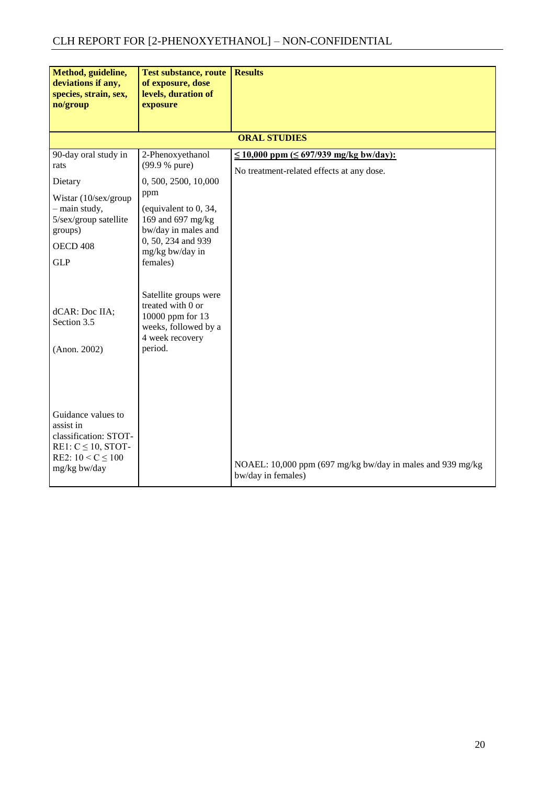| Method, guideline,<br>deviations if any,<br>species, strain, sex,<br>no/group                                                                             | <b>Test substance, route</b><br>of exposure, dose<br>levels, duration of<br>exposure                                                                                                       | <b>Results</b>                                                                                 |
|-----------------------------------------------------------------------------------------------------------------------------------------------------------|--------------------------------------------------------------------------------------------------------------------------------------------------------------------------------------------|------------------------------------------------------------------------------------------------|
|                                                                                                                                                           |                                                                                                                                                                                            | <b>ORAL STUDIES</b>                                                                            |
| 90-day oral study in<br>rats<br>Dietary<br>Wistar (10/sex/group<br>- main study,<br>5/sex/group satellite<br>groups)<br>OECD <sub>408</sub><br><b>GLP</b> | 2-Phenoxyethanol<br>(99.9 % pure)<br>0, 500, 2500, 10,000<br>ppm<br>(equivalent to 0, 34,<br>169 and 697 mg/kg<br>bw/day in males and<br>0, 50, 234 and 939<br>mg/kg bw/day in<br>females) | $\leq$ 10,000 ppm ( $\leq$ 697/939 mg/kg bw/day):<br>No treatment-related effects at any dose. |
| dCAR: Doc IIA;<br>Section 3.5<br>$($ Anon. 2002 $)$                                                                                                       | Satellite groups were<br>treated with 0 or<br>10000 ppm for 13<br>weeks, followed by a<br>4 week recovery<br>period.                                                                       |                                                                                                |
| Guidance values to<br>assist in<br>classification: STOT-<br>RE1: $C \le 10$ , STOT-<br>RE2: $10 < C \le 100$<br>mg/kg bw/day                              |                                                                                                                                                                                            | NOAEL: 10,000 ppm (697 mg/kg bw/day in males and 939 mg/kg<br>bw/day in females)               |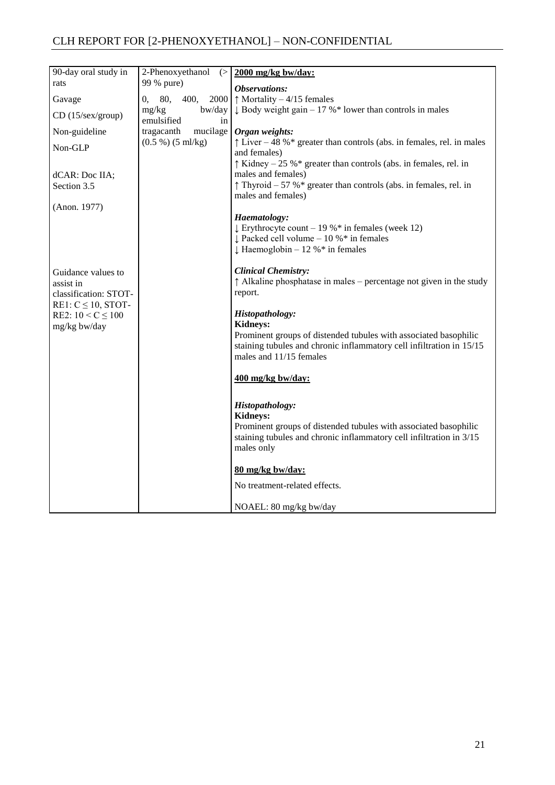| 90-day oral study in                                                                | 2-Phenoxyethanol<br>(               | 2000 mg/kg bw/day:                                                                                                                                                                                        |
|-------------------------------------------------------------------------------------|-------------------------------------|-----------------------------------------------------------------------------------------------------------------------------------------------------------------------------------------------------------|
| rats                                                                                | 99 % pure)                          | Observations:                                                                                                                                                                                             |
| Gavage                                                                              | 80,<br>400,<br>2000<br>0,           | $\uparrow$ Mortality – 4/15 females                                                                                                                                                                       |
| $CD$ (15/sex/group)                                                                 | bw/day<br>mg/kg<br>emulsified<br>in | $\downarrow$ Body weight gain – 17 %* lower than controls in males                                                                                                                                        |
| Non-guideline                                                                       | mucilage<br>tragacanth              | Organ weights:                                                                                                                                                                                            |
| Non-GLP                                                                             | (0.5 %) (5 ml/kg)                   | $\uparrow$ Liver – 48 %* greater than controls (abs. in females, rel. in males<br>and females)                                                                                                            |
| dCAR: Doc IIA;<br>Section 3.5                                                       |                                     | $\uparrow$ Kidney – 25 %* greater than controls (abs. in females, rel. in<br>males and females)<br>$\uparrow$ Thyroid – 57 %* greater than controls (abs. in females, rel. in<br>males and females)       |
| (Anon. 1977)                                                                        |                                     |                                                                                                                                                                                                           |
|                                                                                     |                                     | Haematology:<br>$\downarrow$ Erythrocyte count – 19 %* in females (week 12)<br>$\downarrow$ Packed cell volume - 10 %* in females<br>$\downarrow$ Haemoglobin – 12 %* in females                          |
| Guidance values to<br>assist in<br>classification: STOT-<br>RE1: $C \le 10$ , STOT- |                                     | <b>Clinical Chemistry:</b><br>$\uparrow$ Alkaline phosphatase in males – percentage not given in the study<br>report.                                                                                     |
| RE2: $10 < C \le 100$<br>mg/kg bw/day                                               |                                     | Histopathology:<br><b>Kidneys:</b><br>Prominent groups of distended tubules with associated basophilic<br>staining tubules and chronic inflammatory cell infiltration in 15/15<br>males and 11/15 females |
|                                                                                     |                                     | 400 mg/kg bw/day:                                                                                                                                                                                         |
|                                                                                     |                                     | Histopathology:<br><b>Kidneys:</b><br>Prominent groups of distended tubules with associated basophilic<br>staining tubules and chronic inflammatory cell infiltration in 3/15<br>males only               |
|                                                                                     |                                     | 80 mg/kg bw/day:                                                                                                                                                                                          |
|                                                                                     |                                     | No treatment-related effects.                                                                                                                                                                             |
|                                                                                     |                                     | NOAEL: 80 mg/kg bw/day                                                                                                                                                                                    |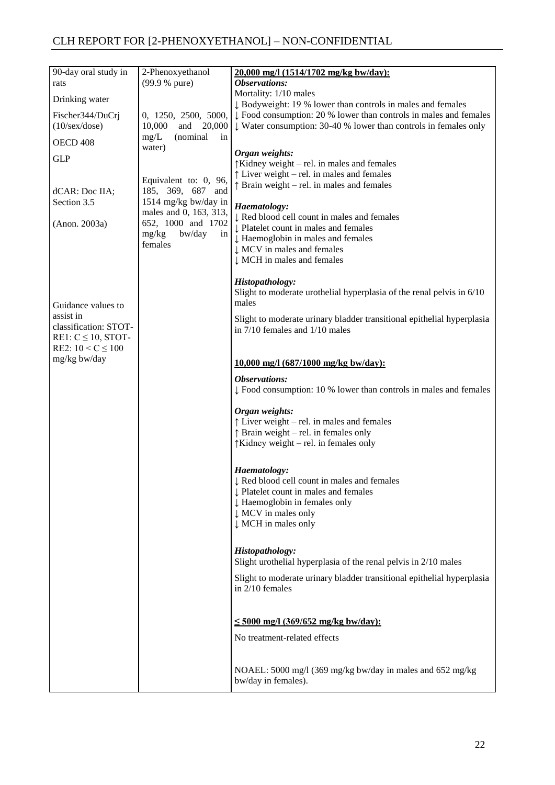| 90-day oral study in                                          | 2-Phenoxyethanol                                                                             | 20,000 mg/l (1514/1702 mg/kg bw/day):                                                                                                                                                  |
|---------------------------------------------------------------|----------------------------------------------------------------------------------------------|----------------------------------------------------------------------------------------------------------------------------------------------------------------------------------------|
| rats                                                          | (99.9 % pure)                                                                                | Observations:                                                                                                                                                                          |
| Drinking water                                                |                                                                                              | Mortality: 1/10 males<br>↓ Bodyweight: 19 % lower than controls in males and females                                                                                                   |
| Fischer344/DuCri                                              | 0, 1250, 2500, 5000,                                                                         | $\downarrow$ Food consumption: 20 % lower than controls in males and females                                                                                                           |
| $(10/\text{sex}/\text{dose})$                                 | 10,000<br>and<br>20,000                                                                      | $\downarrow$ Water consumption: 30-40 % lower than controls in females only                                                                                                            |
| OECD <sub>408</sub>                                           | (nominal<br>mg/L<br>in<br>water)                                                             |                                                                                                                                                                                        |
| <b>GLP</b>                                                    |                                                                                              | Organ weights:<br>$\uparrow$ Kidney weight – rel. in males and females                                                                                                                 |
| dCAR: Doc IIA;<br>Section 3.5                                 | Equivalent to: 0, 96,<br>185, 369, 687 and<br>1514 mg/kg bw/day in<br>males and 0, 163, 313, | $\uparrow$ Liver weight – rel. in males and females<br>$\uparrow$ Brain weight – rel. in males and females<br>Haematology:                                                             |
| (Anon. 2003a)                                                 | 652, 1000 and 1702<br>mg/kg<br>bw/day<br>in<br>females                                       | ↓ Red blood cell count in males and females<br>↓ Platelet count in males and females<br>↓ Haemoglobin in males and females<br>↓ MCV in males and females<br>↓ MCH in males and females |
| Guidance values to                                            |                                                                                              | Histopathology:<br>Slight to moderate urothelial hyperplasia of the renal pelvis in 6/10<br>males                                                                                      |
| assist in<br>classification: STOT-<br>RE1: $C \le 10$ , STOT- |                                                                                              | Slight to moderate urinary bladder transitional epithelial hyperplasia<br>in $7/10$ females and $1/10$ males                                                                           |
| RE2: $10 < C \le 100$<br>mg/kg bw/day                         |                                                                                              | 10,000 mg/l (687/1000 mg/kg bw/day):                                                                                                                                                   |
|                                                               |                                                                                              | Observations:<br>$\downarrow$ Food consumption: 10 % lower than controls in males and females                                                                                          |
|                                                               |                                                                                              | Organ weights:<br>$\uparrow$ Liver weight – rel. in males and females<br>$\uparrow$ Brain weight – rel. in females only<br>$\uparrow$ Kidney weight – rel. in females only             |
|                                                               |                                                                                              | Haematology:<br>↓ Red blood cell count in males and females<br>↓ Platelet count in males and females<br>↓ Haemoglobin in females only<br>↓ MCV in males only<br>↓ MCH in males only    |
|                                                               |                                                                                              | Histopathology:<br>Slight urothelial hyperplasia of the renal pelvis in 2/10 males                                                                                                     |
|                                                               |                                                                                              | Slight to moderate urinary bladder transitional epithelial hyperplasia<br>in $2/10$ females                                                                                            |
|                                                               |                                                                                              | $\leq 5000$ mg/l (369/652 mg/kg bw/day):                                                                                                                                               |
|                                                               |                                                                                              | No treatment-related effects                                                                                                                                                           |
|                                                               |                                                                                              | NOAEL: 5000 mg/l (369 mg/kg bw/day in males and 652 mg/kg<br>bw/day in females).                                                                                                       |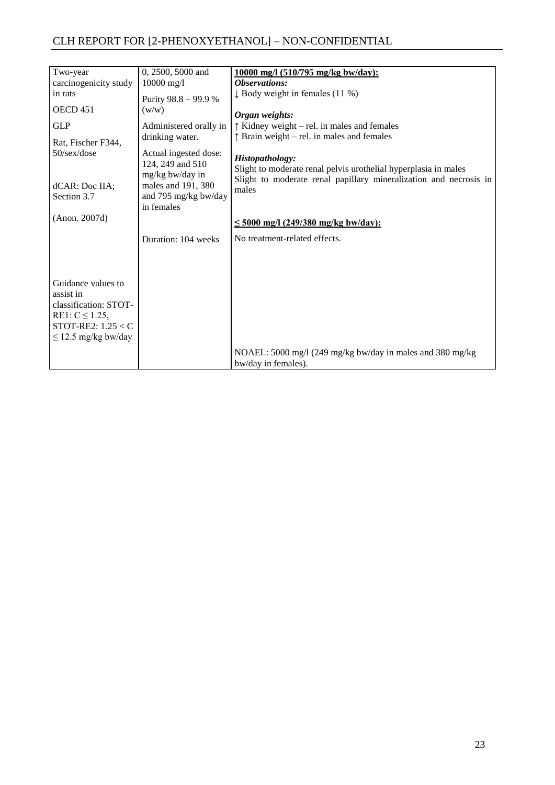| Two-year                                    | 0, 2500, 5000 and                                            | 10000 mg/l (510/795 mg/kg bw/day):                                                 |
|---------------------------------------------|--------------------------------------------------------------|------------------------------------------------------------------------------------|
| carcinogenicity study                       | $10000 \text{ mg/l}$                                         | Observations:                                                                      |
| in rats                                     | Purity 98.8 - 99.9 %                                         | $\downarrow$ Body weight in females (11 %)                                         |
| OECD <sub>451</sub>                         | (w/w)                                                        | Organ weights:                                                                     |
| <b>GLP</b>                                  | Administered orally in                                       | $\uparrow$ Kidney weight – rel. in males and females                               |
| Rat, Fischer F344,                          | drinking water.                                              | $\uparrow$ Brain weight – rel. in males and females                                |
| 50/sex/dose                                 | Actual ingested dose:<br>124, 249 and 510<br>mg/kg bw/day in | Histopathology:<br>Slight to moderate renal pelvis urothelial hyperplasia in males |
| dCAR: Doc IIA;                              | males and 191, 380                                           | Slight to moderate renal papillary mineralization and necrosis in<br>males         |
| Section 3.7                                 | and 795 mg/kg bw/day<br>in females                           |                                                                                    |
| (Anon. 2007d)                               |                                                              | $\leq 5000$ mg/l (249/380 mg/kg bw/day):                                           |
|                                             | Duration: 104 weeks                                          | No treatment-related effects.                                                      |
|                                             |                                                              |                                                                                    |
|                                             |                                                              |                                                                                    |
| Guidance values to                          |                                                              |                                                                                    |
| assist in                                   |                                                              |                                                                                    |
| classification: STOT-                       |                                                              |                                                                                    |
| RE1: $C \le 1.25$ ,<br>STOT-RE2: $1.25 < C$ |                                                              |                                                                                    |
| $\leq$ 12.5 mg/kg bw/day                    |                                                              |                                                                                    |
|                                             |                                                              | NOAEL: 5000 mg/l (249 mg/kg bw/day in males and 380 mg/kg)                         |
|                                             |                                                              | bw/day in females).                                                                |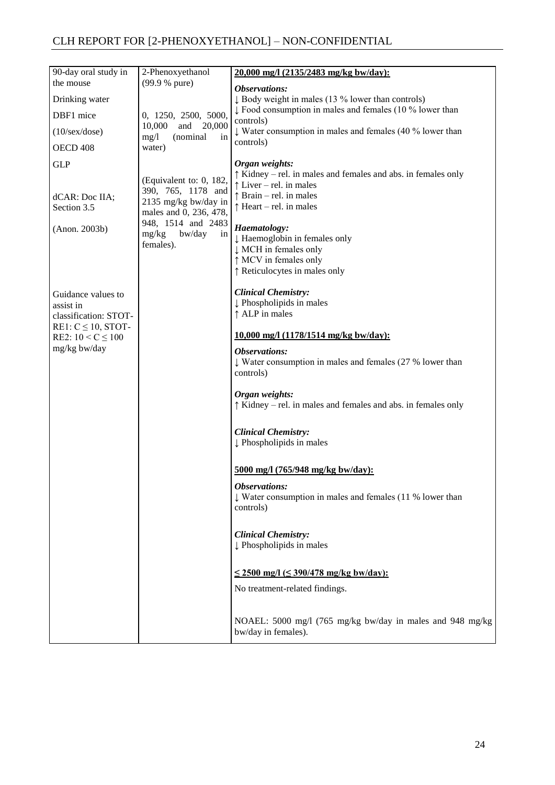| 90-day oral study in                                                                | 2-Phenoxyethanol<br>(99.9 % pure)                                                                                                                           | 20,000 mg/l (2135/2483 mg/kg bw/day):                                                                                                                                                                                                                                                                                                    |
|-------------------------------------------------------------------------------------|-------------------------------------------------------------------------------------------------------------------------------------------------------------|------------------------------------------------------------------------------------------------------------------------------------------------------------------------------------------------------------------------------------------------------------------------------------------------------------------------------------------|
| the mouse                                                                           |                                                                                                                                                             | Observations:                                                                                                                                                                                                                                                                                                                            |
| Drinking water                                                                      |                                                                                                                                                             | $\downarrow$ Body weight in males (13 % lower than controls)                                                                                                                                                                                                                                                                             |
| DBF1 mice                                                                           | 0, 1250, 2500, 5000,<br>10,000<br>and 20,000<br>mg/1<br>(nominal<br>in<br>water)                                                                            | $\downarrow$ Food consumption in males and females (10 % lower than<br>controls)                                                                                                                                                                                                                                                         |
| $(10/\text{sex}/\text{dose})$                                                       |                                                                                                                                                             | $\downarrow$ Water consumption in males and females (40 % lower than                                                                                                                                                                                                                                                                     |
| OECD 408                                                                            |                                                                                                                                                             | controls)                                                                                                                                                                                                                                                                                                                                |
| <b>GLP</b><br>dCAR: Doc IIA;<br>Section 3.5<br>(Anon. 2003b)                        | (Equivalent to: 0, 182,<br>390, 765, 1178 and<br>2135 mg/kg bw/day in<br>males and 0, 236, 478,<br>948, 1514 and 2483<br>mg/kg<br>bw/day<br>in<br>females). | Organ weights:<br>$\uparrow$ Kidney – rel. in males and females and abs. in females only<br>$\uparrow$ Liver – rel. in males<br>$\uparrow$ Brain – rel. in males<br>$\uparrow$ Heart – rel. in males<br>Haematology:<br>↓ Haemoglobin in females only<br>↓ MCH in females only<br>↑ MCV in females only<br>↑ Reticulocytes in males only |
| Guidance values to<br>assist in<br>classification: STOT-<br>RE1: $C \le 10$ , STOT- |                                                                                                                                                             | <b>Clinical Chemistry:</b><br>Phospholipids in males<br>↑ ALP in males                                                                                                                                                                                                                                                                   |
| RE2: $10 < C \le 100$                                                               |                                                                                                                                                             | 10,000 mg/l (1178/1514 mg/kg bw/day):                                                                                                                                                                                                                                                                                                    |
| mg/kg bw/day                                                                        |                                                                                                                                                             | Observations:<br>$\downarrow$ Water consumption in males and females (27 % lower than<br>controls)                                                                                                                                                                                                                                       |
|                                                                                     |                                                                                                                                                             | Organ weights:<br>$\uparrow$ Kidney – rel. in males and females and abs. in females only                                                                                                                                                                                                                                                 |
|                                                                                     |                                                                                                                                                             | <b>Clinical Chemistry:</b><br>Phospholipids in males                                                                                                                                                                                                                                                                                     |
|                                                                                     |                                                                                                                                                             | 5000 mg/l (765/948 mg/kg bw/day):                                                                                                                                                                                                                                                                                                        |
|                                                                                     |                                                                                                                                                             | <b>Observations:</b><br>$\downarrow$ Water consumption in males and females (11 % lower than<br>controls)                                                                                                                                                                                                                                |
|                                                                                     |                                                                                                                                                             | <b>Clinical Chemistry:</b><br>Phospholipids in males                                                                                                                                                                                                                                                                                     |
|                                                                                     |                                                                                                                                                             | $\leq$ 2500 mg/l ( $\leq$ 390/478 mg/kg bw/day):<br>No treatment-related findings.                                                                                                                                                                                                                                                       |
|                                                                                     |                                                                                                                                                             | NOAEL: 5000 mg/l (765 mg/kg bw/day in males and 948 mg/kg<br>bw/day in females).                                                                                                                                                                                                                                                         |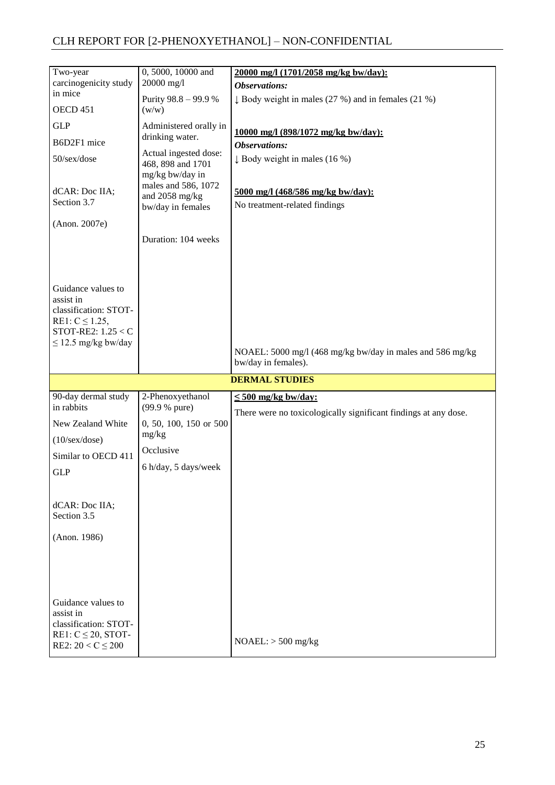| Two-year                                         | 0, 5000, 10000 and                         | 20000 mg/l (1701/2058 mg/kg bw/day):                                             |
|--------------------------------------------------|--------------------------------------------|----------------------------------------------------------------------------------|
| carcinogenicity study                            | 20000 mg/l                                 | <b>Observations:</b>                                                             |
| in mice                                          | Purity 98.8 - 99.9 %                       | $\downarrow$ Body weight in males (27 %) and in females (21 %)                   |
| OECD 451                                         | (w/w)                                      |                                                                                  |
| <b>GLP</b>                                       | Administered orally in                     | 10000 mg/l (898/1072 mg/kg bw/day):                                              |
| B6D2F1 mice                                      | drinking water.                            | <b>Observations:</b>                                                             |
| 50/sex/dose                                      | Actual ingested dose:<br>468, 898 and 1701 | $\downarrow$ Body weight in males (16 %)                                         |
|                                                  | mg/kg bw/day in                            |                                                                                  |
| dCAR: Doc IIA;                                   | males and 586, 1072                        | 5000 mg/l (468/586 mg/kg bw/day):                                                |
| Section 3.7                                      | and 2058 mg/kg<br>bw/day in females        | No treatment-related findings                                                    |
|                                                  |                                            |                                                                                  |
| (Anon. 2007e)                                    |                                            |                                                                                  |
|                                                  | Duration: 104 weeks                        |                                                                                  |
|                                                  |                                            |                                                                                  |
|                                                  |                                            |                                                                                  |
|                                                  |                                            |                                                                                  |
| Guidance values to                               |                                            |                                                                                  |
| assist in<br>classification: STOT-               |                                            |                                                                                  |
| RE1: $C \le 1.25$ ,                              |                                            |                                                                                  |
| STOT-RE2: $1.25 < C$                             |                                            |                                                                                  |
| $\leq$ 12.5 mg/kg bw/day                         |                                            |                                                                                  |
|                                                  |                                            | NOAEL: 5000 mg/l (468 mg/kg bw/day in males and 586 mg/kg<br>bw/day in females). |
|                                                  |                                            |                                                                                  |
|                                                  |                                            |                                                                                  |
|                                                  |                                            | <b>DERMAL STUDIES</b>                                                            |
| 90-day dermal study                              | 2-Phenoxyethanol                           | $\leq$ 500 mg/kg bw/day:                                                         |
| in rabbits                                       | (99.9 % pure)                              | There were no toxicologically significant findings at any dose.                  |
| New Zealand White                                | 0, 50, 100, 150 or 500                     |                                                                                  |
| $(10/\text{sex}/\text{dose})$                    | mg/kg                                      |                                                                                  |
| Similar to OECD 411                              | Occlusive                                  |                                                                                  |
|                                                  | 6 h/day, 5 days/week                       |                                                                                  |
| <b>GLP</b>                                       |                                            |                                                                                  |
|                                                  |                                            |                                                                                  |
| dCAR: Doc IIA;                                   |                                            |                                                                                  |
| Section 3.5                                      |                                            |                                                                                  |
|                                                  |                                            |                                                                                  |
| (Anon. 1986)                                     |                                            |                                                                                  |
|                                                  |                                            |                                                                                  |
|                                                  |                                            |                                                                                  |
|                                                  |                                            |                                                                                  |
| Guidance values to                               |                                            |                                                                                  |
| assist in                                        |                                            |                                                                                  |
| classification: STOT-                            |                                            |                                                                                  |
| RE1: $C \le 20$ , STOT-<br>RE2: $20 < C \le 200$ |                                            | $NOAEL:$ > 500 mg/kg                                                             |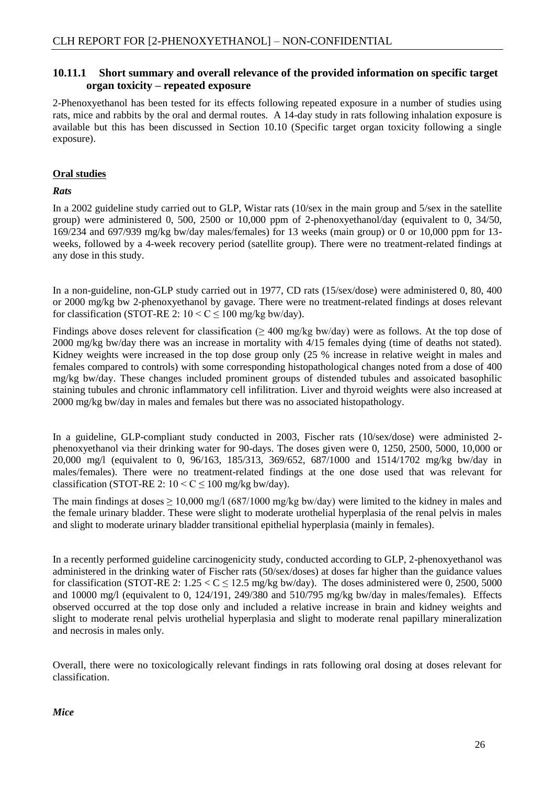#### <span id="page-28-0"></span>**10.11.1 Short summary and overall relevance of the provided information on specific target organ toxicity – repeated exposure**

2-Phenoxyethanol has been tested for its effects following repeated exposure in a number of studies using rats, mice and rabbits by the oral and dermal routes. A 14-day study in rats following inhalation exposure is available but this has been discussed in Section 10.10 (Specific target organ toxicity following a single exposure).

#### **Oral studies**

#### *Rats*

In a 2002 guideline study carried out to GLP, Wistar rats (10/sex in the main group and 5/sex in the satellite group) were administered 0, 500, 2500 or 10,000 ppm of 2-phenoxyethanol/day (equivalent to 0, 34/50, 169/234 and 697/939 mg/kg bw/day males/females) for 13 weeks (main group) or 0 or 10,000 ppm for 13 weeks, followed by a 4-week recovery period (satellite group). There were no treatment-related findings at any dose in this study.

In a non-guideline, non-GLP study carried out in 1977, CD rats (15/sex/dose) were administered 0, 80, 400 or 2000 mg/kg bw 2-phenoxyethanol by gavage. There were no treatment-related findings at doses relevant for classification (STOT-RE 2:  $10 < C \le 100$  mg/kg bw/day).

Findings above doses relevent for classification ( $\geq$  400 mg/kg bw/day) were as follows. At the top dose of 2000 mg/kg bw/day there was an increase in mortality with 4/15 females dying (time of deaths not stated). Kidney weights were increased in the top dose group only (25 % increase in relative weight in males and females compared to controls) with some corresponding histopathological changes noted from a dose of 400 mg/kg bw/day. These changes included prominent groups of distended tubules and assoicated basophilic staining tubules and chronic inflammatory cell infilitration. Liver and thyroid weights were also increased at 2000 mg/kg bw/day in males and females but there was no associated histopathology.

In a guideline, GLP-compliant study conducted in 2003, Fischer rats (10/sex/dose) were administed 2phenoxyethanol via their drinking water for 90-days. The doses given were 0, 1250, 2500, 5000, 10,000 or 20,000 mg/l (equivalent to 0, 96/163, 185/313, 369/652, 687/1000 and 1514/1702 mg/kg bw/day in males/females). There were no treatment-related findings at the one dose used that was relevant for classification (STOT-RE 2:  $10 < C \le 100$  mg/kg bw/day).

The main findings at doses  $\geq 10,000$  mg/l (687/1000 mg/kg bw/day) were limited to the kidney in males and the female urinary bladder. These were slight to moderate urothelial hyperplasia of the renal pelvis in males and slight to moderate urinary bladder transitional epithelial hyperplasia (mainly in females).

In a recently performed guideline carcinogenicity study, conducted according to GLP, 2-phenoxyethanol was administered in the drinking water of Fischer rats (50/sex/doses) at doses far higher than the guidance values for classification (STOT-RE 2:  $1.25 < C \le 12.5$  mg/kg bw/day). The doses administered were 0, 2500, 5000 and 10000 mg/l (equivalent to 0, 124/191, 249/380 and 510/795 mg/kg bw/day in males/females). Effects observed occurred at the top dose only and included a relative increase in brain and kidney weights and slight to moderate renal pelvis urothelial hyperplasia and slight to moderate renal papillary mineralization and necrosis in males only.

Overall, there were no toxicologically relevant findings in rats following oral dosing at doses relevant for classification.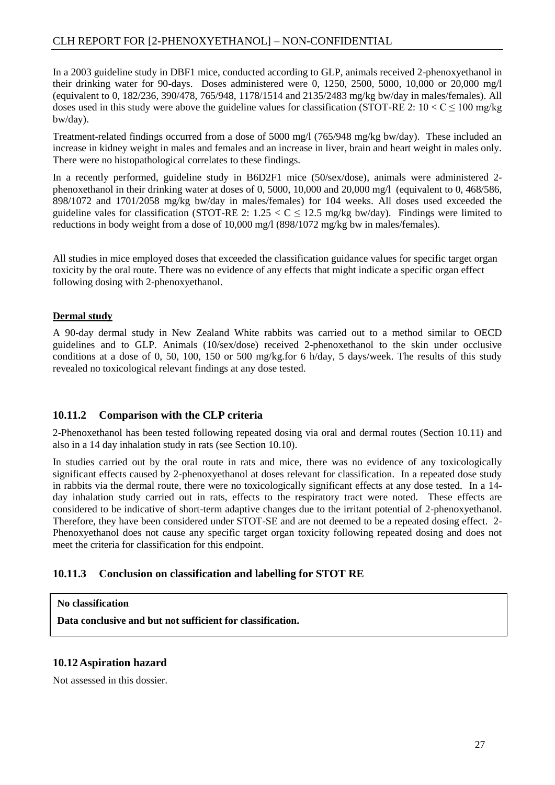In a 2003 guideline study in DBF1 mice, conducted according to GLP, animals received 2-phenoxyethanol in their drinking water for 90-days. Doses administered were 0, 1250, 2500, 5000, 10,000 or 20,000 mg/l (equivalent to 0, 182/236, 390/478, 765/948, 1178/1514 and 2135/2483 mg/kg bw/day in males/females). All doses used in this study were above the guideline values for classification (STOT-RE 2:  $10 < C \le 100$  mg/kg bw/day).

Treatment-related findings occurred from a dose of 5000 mg/l (765/948 mg/kg bw/day). These included an increase in kidney weight in males and females and an increase in liver, brain and heart weight in males only. There were no histopathological correlates to these findings.

In a recently performed, guideline study in B6D2F1 mice (50/sex/dose), animals were administered 2 phenoxethanol in their drinking water at doses of 0, 5000, 10,000 and 20,000 mg/l (equivalent to 0, 468/586, 898/1072 and 1701/2058 mg/kg bw/day in males/females) for 104 weeks. All doses used exceeded the guideline vales for classification (STOT-RE 2:  $1.25 < C \le 12.5$  mg/kg bw/day). Findings were limited to reductions in body weight from a dose of 10,000 mg/l (898/1072 mg/kg bw in males/females).

All studies in mice employed doses that exceeded the classification guidance values for specific target organ toxicity by the oral route. There was no evidence of any effects that might indicate a specific organ effect following dosing with 2-phenoxyethanol.

#### **Dermal study**

A 90-day dermal study in New Zealand White rabbits was carried out to a method similar to OECD guidelines and to GLP. Animals (10/sex/dose) received 2-phenoxethanol to the skin under occlusive conditions at a dose of 0, 50, 100, 150 or 500 mg/kg.for 6 h/day, 5 days/week. The results of this study revealed no toxicological relevant findings at any dose tested.

#### <span id="page-29-0"></span>**10.11.2 Comparison with the CLP criteria**

2-Phenoxethanol has been tested following repeated dosing via oral and dermal routes (Section 10.11) and also in a 14 day inhalation study in rats (see Section 10.10).

In studies carried out by the oral route in rats and mice, there was no evidence of any toxicologically significant effects caused by 2-phenoxyethanol at doses relevant for classification. In a repeated dose study in rabbits via the dermal route, there were no toxicologically significant effects at any dose tested. In a 14 day inhalation study carried out in rats, effects to the respiratory tract were noted. These effects are considered to be indicative of short-term adaptive changes due to the irritant potential of 2-phenoxyethanol. Therefore, they have been considered under STOT-SE and are not deemed to be a repeated dosing effect. 2- Phenoxyethanol does not cause any specific target organ toxicity following repeated dosing and does not meet the criteria for classification for this endpoint.

## <span id="page-29-1"></span>**10.11.3 Conclusion on classification and labelling for STOT RE**

#### **No classification**

**Data conclusive and but not sufficient for classification.**

#### <span id="page-29-2"></span>**10.12 Aspiration hazard**

Not assessed in this dossier.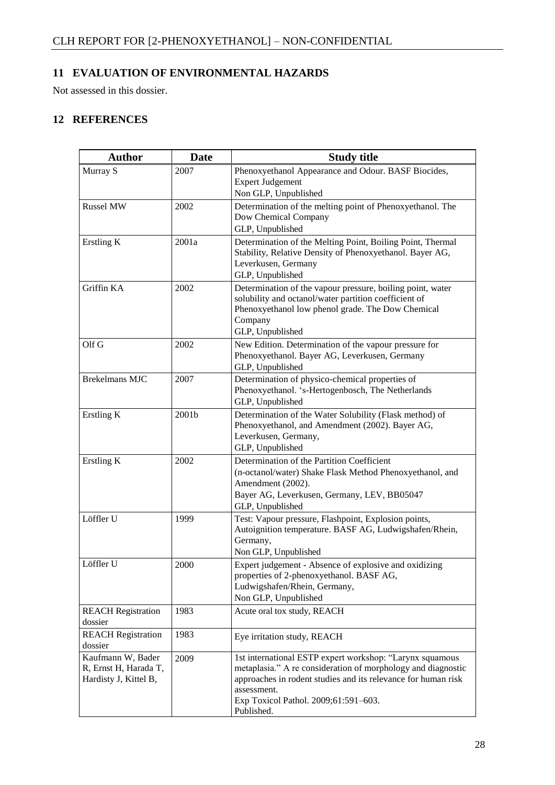# <span id="page-30-0"></span>**11 EVALUATION OF ENVIRONMENTAL HAZARDS**

Not assessed in this dossier.

# <span id="page-30-1"></span>**12 REFERENCES**

| <b>Author</b>                                                       | <b>Date</b> | <b>Study title</b>                                                                                                                                                                                                                                             |
|---------------------------------------------------------------------|-------------|----------------------------------------------------------------------------------------------------------------------------------------------------------------------------------------------------------------------------------------------------------------|
| Murray S                                                            | 2007        | Phenoxyethanol Appearance and Odour. BASF Biocides,<br><b>Expert Judgement</b><br>Non GLP, Unpublished                                                                                                                                                         |
| <b>Russel MW</b>                                                    | 2002        | Determination of the melting point of Phenoxyethanol. The<br>Dow Chemical Company<br>GLP, Unpublished                                                                                                                                                          |
| Erstling K                                                          | 2001a       | Determination of the Melting Point, Boiling Point, Thermal<br>Stability, Relative Density of Phenoxyethanol. Bayer AG,<br>Leverkusen, Germany<br>GLP, Unpublished                                                                                              |
| Griffin KA                                                          | 2002        | Determination of the vapour pressure, boiling point, water<br>solubility and octanol/water partition coefficient of<br>Phenoxyethanol low phenol grade. The Dow Chemical<br>Company<br>GLP, Unpublished                                                        |
| Olf G                                                               | 2002        | New Edition. Determination of the vapour pressure for<br>Phenoxyethanol. Bayer AG, Leverkusen, Germany<br>GLP, Unpublished                                                                                                                                     |
| <b>Brekelmans MJC</b>                                               | 2007        | Determination of physico-chemical properties of<br>Phenoxyethanol. 's-Hertogenbosch, The Netherlands<br>GLP, Unpublished                                                                                                                                       |
| Erstling K                                                          | 2001b       | Determination of the Water Solubility (Flask method) of<br>Phenoxyethanol, and Amendment (2002). Bayer AG,<br>Leverkusen, Germany,<br>GLP, Unpublished                                                                                                         |
| Erstling K                                                          | 2002        | Determination of the Partition Coefficient<br>(n-octanol/water) Shake Flask Method Phenoxyethanol, and<br>Amendment (2002).<br>Bayer AG, Leverkusen, Germany, LEV, BB05047<br>GLP, Unpublished                                                                 |
| Löffler U                                                           | 1999        | Test: Vapour pressure, Flashpoint, Explosion points,<br>Autoignition temperature. BASF AG, Ludwigshafen/Rhein,<br>Germany,<br>Non GLP, Unpublished                                                                                                             |
| Löffler U                                                           | 2000        | Expert judgement - Absence of explosive and oxidizing<br>properties of 2-phenoxyethanol. BASF AG,<br>Ludwigshafen/Rhein, Germany,<br>Non GLP, Unpublished                                                                                                      |
| <b>REACH Registration</b><br>dossier                                | 1983        | Acute oral tox study, REACH                                                                                                                                                                                                                                    |
| <b>REACH</b> Registration<br>dossier                                | 1983        | Eye irritation study, REACH                                                                                                                                                                                                                                    |
| Kaufmann W, Bader<br>R, Ernst H, Harada T,<br>Hardisty J, Kittel B, | 2009        | 1st international ESTP expert workshop: "Larynx squamous<br>metaplasia." A re consideration of morphology and diagnostic<br>approaches in rodent studies and its relevance for human risk<br>assessment.<br>Exp Toxicol Pathol. 2009;61:591-603.<br>Published. |